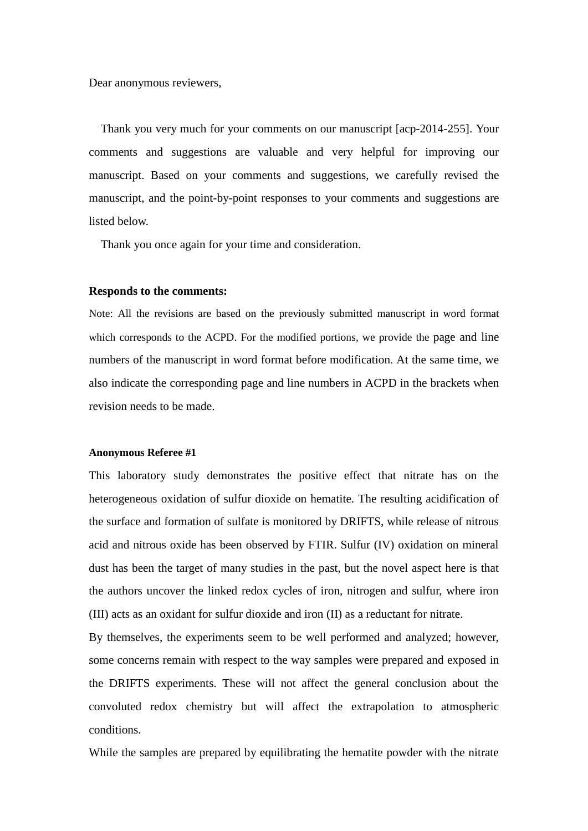Dear anonymous reviewers,

Thank you very much for your comments on our manuscript [acp-2014-255]. Your comments and suggestions are valuable and very helpful for improving our manuscript. Based on your comments and suggestions, we carefully revised the manuscript, and the point-by-point responses to your comments and suggestions are listed below.

Thank you once again for your time and consideration.

#### **Responds to the comments:**

Note: All the revisions are based on the previously submitted manuscript in word format which corresponds to the ACPD. For the modified portions, we provide the page and line numbers of the manuscript in word format before modification. At the same time, we also indicate the corresponding page and line numbers in ACPD in the brackets when revision needs to be made.

#### **Anonymous Referee #1**

This laboratory study demonstrates the positive effect that nitrate has on the heterogeneous oxidation of sulfur dioxide on hematite. The resulting acidification of the surface and formation of sulfate is monitored by DRIFTS, while release of nitrous acid and nitrous oxide has been observed by FTIR. Sulfur (IV) oxidation on mineral dust has been the target of many studies in the past, but the novel aspect here is that the authors uncover the linked redox cycles of iron, nitrogen and sulfur, where iron (III) acts as an oxidant for sulfur dioxide and iron (II) as a reductant for nitrate.

By themselves, the experiments seem to be well performed and analyzed; however, some concerns remain with respect to the way samples were prepared and exposed in the DRIFTS experiments. These will not affect the general conclusion about the convoluted redox chemistry but will affect the extrapolation to atmospheric conditions.

While the samples are prepared by equilibrating the hematite powder with the nitrate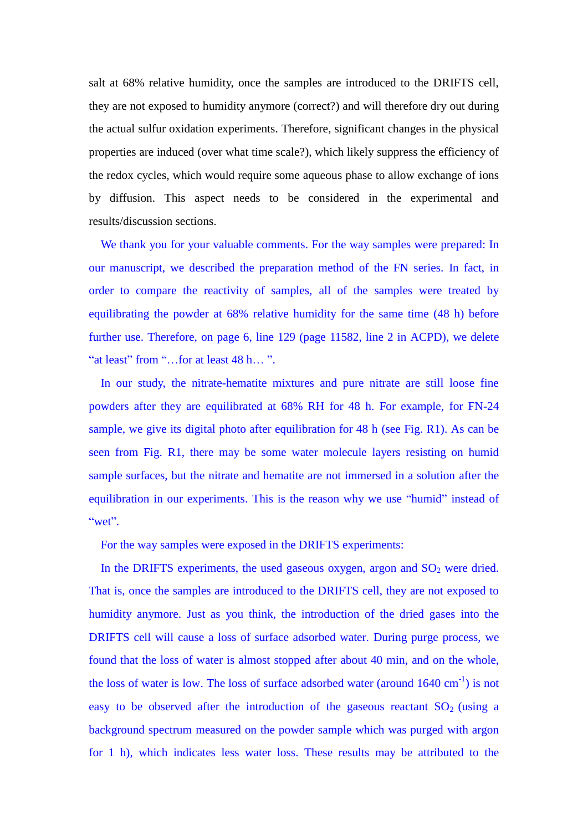salt at 68% relative humidity, once the samples are introduced to the DRIFTS cell, they are not exposed to humidity anymore (correct?) and will therefore dry out during the actual sulfur oxidation experiments. Therefore, significant changes in the physical properties are induced (over what time scale?), which likely suppress the efficiency of the redox cycles, which would require some aqueous phase to allow exchange of ions by diffusion. This aspect needs to be considered in the experimental and results/discussion sections.

We thank you for your valuable comments. For the way samples were prepared: In our manuscript, we described the preparation method of the FN series. In fact, in order to compare the reactivity of samples, all of the samples were treated by equilibrating the powder at 68% relative humidity for the same time (48 h) before further use. Therefore, on page 6, line 129 (page 11582, line 2 in ACPD), we delete "at least" from "…for at least 48 h… ".

In our study, the nitrate-hematite mixtures and pure nitrate are still loose fine powders after they are equilibrated at 68% RH for 48 h. For example, for FN-24 sample, we give its digital photo after equilibration for 48 h (see Fig. R1). As can be seen from Fig. R1, there may be some water molecule layers resisting on humid sample surfaces, but the nitrate and hematite are not immersed in a solution after the equilibration in our experiments. This is the reason why we use "humid" instead of "wet".

For the way samples were exposed in the DRIFTS experiments:

In the DRIFTS experiments, the used gaseous oxygen, argon and  $SO<sub>2</sub>$  were dried. That is, once the samples are introduced to the DRIFTS cell, they are not exposed to humidity anymore. Just as you think, the introduction of the dried gases into the DRIFTS cell will cause a loss of surface adsorbed water. During purge process, we found that the loss of water is almost stopped after about 40 min, and on the whole, the loss of water is low. The loss of surface adsorbed water (around  $1640 \text{ cm}^{-1}$ ) is not easy to be observed after the introduction of the gaseous reactant  $SO_2$  (using a background spectrum measured on the powder sample which was purged with argon for 1 h), which indicates less water loss. These results may be attributed to the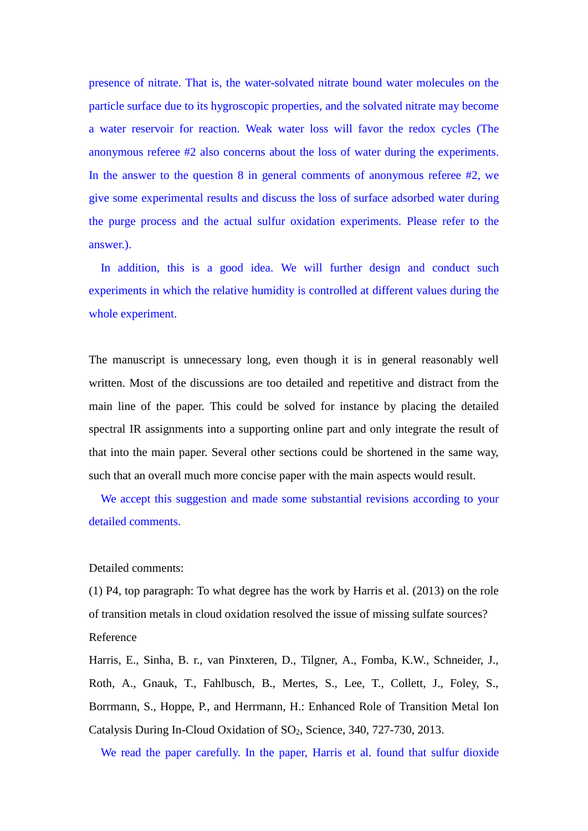presence of nitrate. That is, the water-solvated nitrate bound water molecules on the particle surface due to its hygroscopic properties, and the solvated nitrate may become a water reservoir for reaction. Weak water loss will favor the redox cycles (The anonymous referee #2 also concerns about the loss of water during the experiments. In the answer to the question 8 in general comments of anonymous referee #2, we give some experimental results and discuss the loss of surface adsorbed water during the purge process and the actual sulfur oxidation experiments. Please refer to the answer.).

In addition, this is a good idea. We will further design and conduct such experiments in which the relative humidity is controlled at different values during the whole experiment.

The manuscript is unnecessary long, even though it is in general reasonably well written. Most of the discussions are too detailed and repetitive and distract from the main line of the paper. This could be solved for instance by placing the detailed spectral IR assignments into a supporting online part and only integrate the result of that into the main paper. Several other sections could be shortened in the same way, such that an overall much more concise paper with the main aspects would result.

We accept this suggestion and made some substantial revisions according to your detailed comments.

## Detailed comments:

(1) P4, top paragraph: To what degree has the work by Harris et al. (2013) on the role of transition metals in cloud oxidation resolved the issue of missing sulfate sources? Reference

Harris, E., Sinha, B. r., van Pinxteren, D., Tilgner, A., Fomba, K.W., Schneider, J., Roth, A., Gnauk, T., Fahlbusch, B., Mertes, S., Lee, T., Collett, J., Foley, S., Borrmann, S., Hoppe, P., and Herrmann, H.: Enhanced Role of Transition Metal Ion Catalysis During In-Cloud Oxidation of SO<sub>2</sub>, Science, 340, 727-730, 2013.

We read the paper carefully. In the paper, Harris et al. found that sulfur dioxide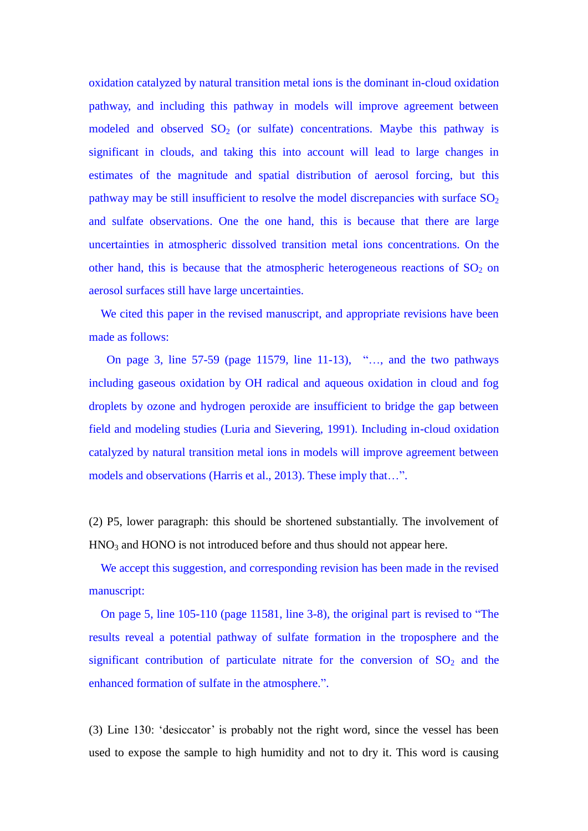oxidation catalyzed by natural transition metal ions is the dominant in-cloud oxidation pathway, and including this pathway in models will improve agreement between modeled and observed  $SO<sub>2</sub>$  (or sulfate) concentrations. Maybe this pathway is significant in clouds, and taking this into account will lead to large changes in estimates of the magnitude and spatial distribution of aerosol forcing, but this pathway may be still insufficient to resolve the model discrepancies with surface  $SO<sub>2</sub>$ and sulfate observations. One the one hand, this is because that there are large uncertainties in atmospheric dissolved transition metal ions concentrations. On the other hand, this is because that the atmospheric heterogeneous reactions of  $SO<sub>2</sub>$  on aerosol surfaces still have large uncertainties.

We cited this paper in the revised manuscript, and appropriate revisions have been made as follows:

On page 3, line 57-59 (page 11579, line 11-13), "…, and the two pathways including gaseous oxidation by OH radical and aqueous oxidation in cloud and fog droplets by ozone and hydrogen peroxide are insufficient to bridge the gap between field and modeling studies (Luria and Sievering, 1991). Including in-cloud oxidation catalyzed by natural transition metal ions in models will improve agreement between models and observations (Harris et al., 2013). These imply that…".

(2) P5, lower paragraph: this should be shortened substantially. The involvement of  $HNO<sub>3</sub>$  and  $HONO$  is not introduced before and thus should not appear here.

We accept this suggestion, and corresponding revision has been made in the revised manuscript:

On page 5, line 105-110 (page 11581, line 3-8), the original part is revised to "The results reveal a potential pathway of sulfate formation in the troposphere and the significant contribution of particulate nitrate for the conversion of  $SO<sub>2</sub>$  and the enhanced formation of sulfate in the atmosphere.".

(3) Line 130: 'desiccator' is probably not the right word, since the vessel has been used to expose the sample to high humidity and not to dry it. This word is causing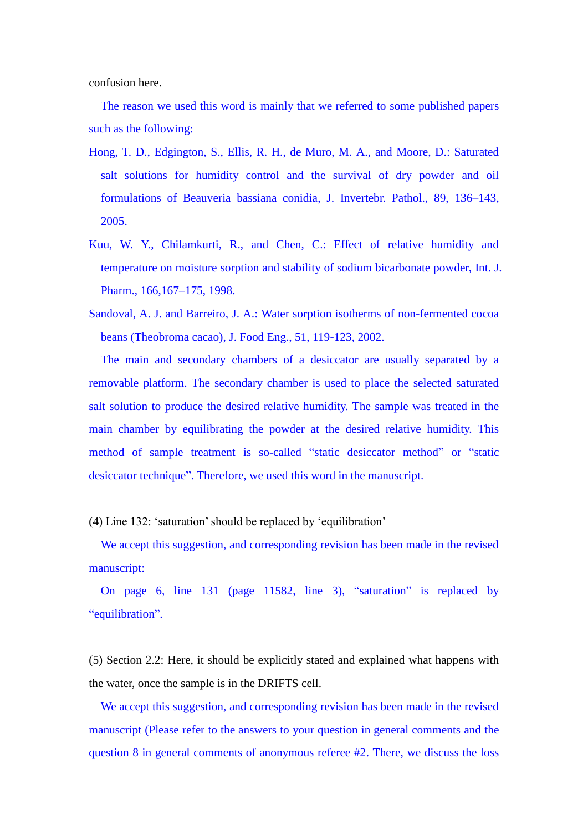confusion here.

The reason we used this word is mainly that we referred to some published papers such as the following:

- Hong, T. D., Edgington, S., Ellis, R. H., de Muro, M. A., and Moore, D.: Saturated salt solutions for humidity control and the survival of dry powder and oil formulations of Beauveria bassiana conidia, J. Invertebr. Pathol., 89, 136–143, 2005.
- Kuu, W. Y., Chilamkurti, R., and Chen, C.: Effect of relative humidity and temperature on moisture sorption and stability of sodium bicarbonate powder, Int. J. Pharm., 166,167–175, 1998.
- Sandoval, A. J. and Barreiro, J. A.: Water sorption isotherms of non-fermented cocoa beans (Theobroma cacao), J. Food Eng., 51, 119-123, 2002.

The main and secondary chambers of a desiccator are usually separated by a removable platform. The secondary chamber is used to place the selected saturated salt solution to produce the desired relative humidity. The sample was treated in the main chamber by equilibrating the powder at the desired relative humidity. This method of sample treatment is so-called "static desiccator method" or "static desiccator technique". Therefore, we used this word in the manuscript.

(4) Line 132: 'saturation' should be replaced by 'equilibration'

We accept this suggestion, and corresponding revision has been made in the revised manuscript:

On page 6, line 131 (page 11582, line 3), "saturation" is replaced by "equilibration".

(5) Section 2.2: Here, it should be explicitly stated and explained what happens with the water, once the sample is in the DRIFTS cell.

We accept this suggestion, and corresponding revision has been made in the revised manuscript (Please refer to the answers to your question in general comments and the question 8 in general comments of anonymous referee #2. There, we discuss the loss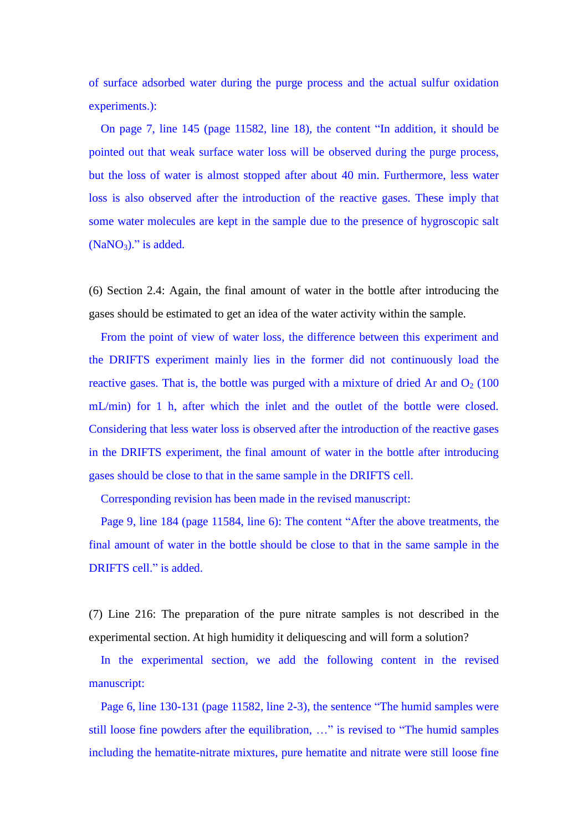of surface adsorbed water during the purge process and the actual sulfur oxidation experiments.):

On page 7, line 145 (page 11582, line 18), the content "In addition, it should be pointed out that weak surface water loss will be observed during the purge process, but the loss of water is almost stopped after about 40 min. Furthermore, less water loss is also observed after the introduction of the reactive gases. These imply that some water molecules are kept in the sample due to the presence of hygroscopic salt  $(NaNO<sub>3</sub>)$ ." is added.

(6) Section 2.4: Again, the final amount of water in the bottle after introducing the gases should be estimated to get an idea of the water activity within the sample.

From the point of view of water loss, the difference between this experiment and the DRIFTS experiment mainly lies in the former did not continuously load the reactive gases. That is, the bottle was purged with a mixture of dried Ar and  $O_2$  (100) mL/min) for 1 h, after which the inlet and the outlet of the bottle were closed. Considering that less water loss is observed after the introduction of the reactive gases in the DRIFTS experiment, the final amount of water in the bottle after introducing gases should be close to that in the same sample in the DRIFTS cell.

Corresponding revision has been made in the revised manuscript:

Page 9, line 184 (page 11584, line 6): The content "After the above treatments, the final amount of water in the bottle should be close to that in the same sample in the DRIFTS cell." is added.

(7) Line 216: The preparation of the pure nitrate samples is not described in the experimental section. At high humidity it deliquescing and will form a solution?

In the experimental section, we add the following content in the revised manuscript:

Page 6, line 130-131 (page 11582, line 2-3), the sentence "The humid samples were still loose fine powders after the equilibration, …" is revised to "The humid samples including the hematite-nitrate mixtures, pure hematite and nitrate were still loose fine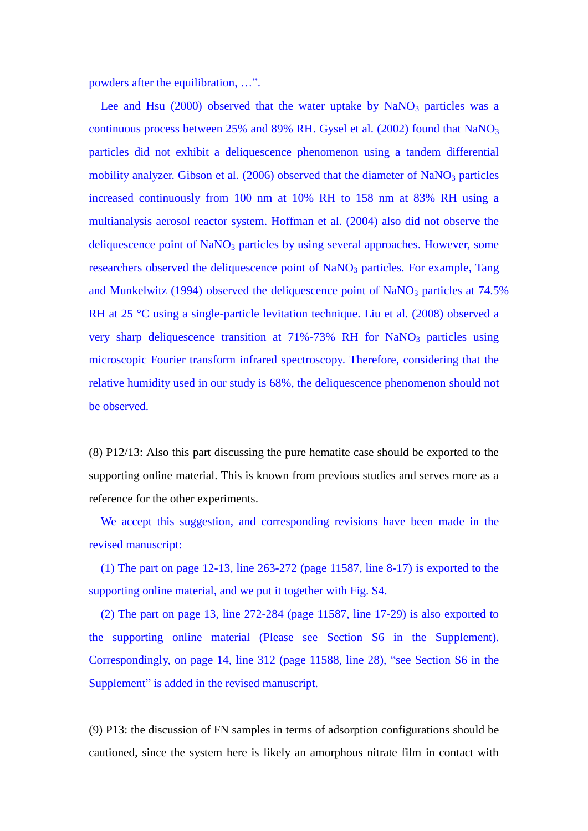powders after the equilibration, …".

Lee and Hsu  $(2000)$  observed that the water uptake by NaNO<sub>3</sub> particles was a continuous process between 25% and 89% RH. Gysel et al. (2002) found that  $NaNO<sub>3</sub>$ particles did not exhibit a deliquescence phenomenon using a tandem differential mobility analyzer. Gibson et al.  $(2006)$  observed that the diameter of NaNO<sub>3</sub> particles increased continuously from 100 nm at 10% RH to 158 nm at 83% RH using a multianalysis aerosol reactor system. Hoffman et al. (2004) also did not observe the deliquescence point of  $NaNO<sub>3</sub>$  particles by using several approaches. However, some researchers observed the deliquescence point of NaNO<sub>3</sub> particles. For example, Tang and Munkelwitz (1994) observed the deliquescence point of  $NaNO<sub>3</sub>$  particles at 74.5% RH at 25 °C using a single-particle levitation technique. Liu et al. (2008) observed a very sharp deliquescence transition at  $71\% - 73\%$  RH for NaNO<sub>3</sub> particles using microscopic Fourier transform infrared spectroscopy. Therefore, considering that the relative humidity used in our study is 68%, the deliquescence phenomenon should not be observed.

(8) P12/13: Also this part discussing the pure hematite case should be exported to the supporting online material. This is known from previous studies and serves more as a reference for the other experiments.

We accept this suggestion, and corresponding revisions have been made in the revised manuscript:

(1) The part on page  $12-13$ , line  $263-272$  (page 11587, line 8-17) is exported to the supporting online material, and we put it together with Fig. S4.

(2) The part on page 13, line 272-284 (page 11587, line 17-29) is also exported to the supporting online material (Please see Section S6 in the Supplement). Correspondingly, on page 14, line 312 (page 11588, line 28), "see Section S6 in the Supplement" is added in the revised manuscript.

(9) P13: the discussion of FN samples in terms of adsorption configurations should be cautioned, since the system here is likely an amorphous nitrate film in contact with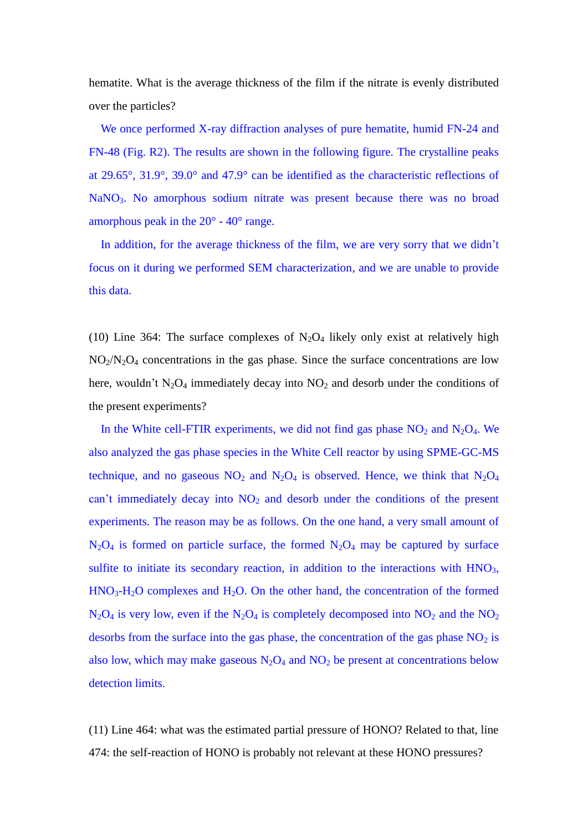hematite. What is the average thickness of the film if the nitrate is evenly distributed over the particles?

We once performed X-ray diffraction analyses of pure hematite, humid FN-24 and FN-48 (Fig. R2). The results are shown in the following figure. The crystalline peaks at 29.65°, 31.9°, 39.0°and 47.9°can be identified as the characteristic reflections of NaNO<sub>3</sub>. No amorphous sodium nitrate was present because there was no broad amorphous peak in the  $20^{\circ}$ -40 $^{\circ}$  range.

In addition, for the average thickness of the film, we are very sorry that we didn't focus on it during we performed SEM characterization, and we are unable to provide this data.

(10) Line 364: The surface complexes of  $N_2O_4$  likely only exist at relatively high  $NO<sub>2</sub>/N<sub>2</sub>O<sub>4</sub>$  concentrations in the gas phase. Since the surface concentrations are low here, wouldn't  $N_2O_4$  immediately decay into  $NO_2$  and desorb under the conditions of the present experiments?

In the White cell-FTIR experiments, we did not find gas phase  $NO_2$  and  $N_2O_4$ . We also analyzed the gas phase species in the White Cell reactor by using SPME-GC-MS technique, and no gaseous  $NO_2$  and  $N_2O_4$  is observed. Hence, we think that  $N_2O_4$ can't immediately decay into  $NO<sub>2</sub>$  and desorb under the conditions of the present experiments. The reason may be as follows. On the one hand, a very small amount of  $N_2O_4$  is formed on particle surface, the formed  $N_2O_4$  may be captured by surface sulfite to initiate its secondary reaction, in addition to the interactions with  $HNO<sub>3</sub>$ ,  $HNO<sub>3</sub>-H<sub>2</sub>O$  complexes and  $H<sub>2</sub>O$ . On the other hand, the concentration of the formed  $N_2O_4$  is very low, even if the  $N_2O_4$  is completely decomposed into  $NO_2$  and the  $NO_2$ desorbs from the surface into the gas phase, the concentration of the gas phase  $NO<sub>2</sub>$  is also low, which may make gaseous  $N_2O_4$  and  $NO_2$  be present at concentrations below detection limits.

(11) Line 464: what was the estimated partial pressure of HONO? Related to that, line 474: the self-reaction of HONO is probably not relevant at these HONO pressures?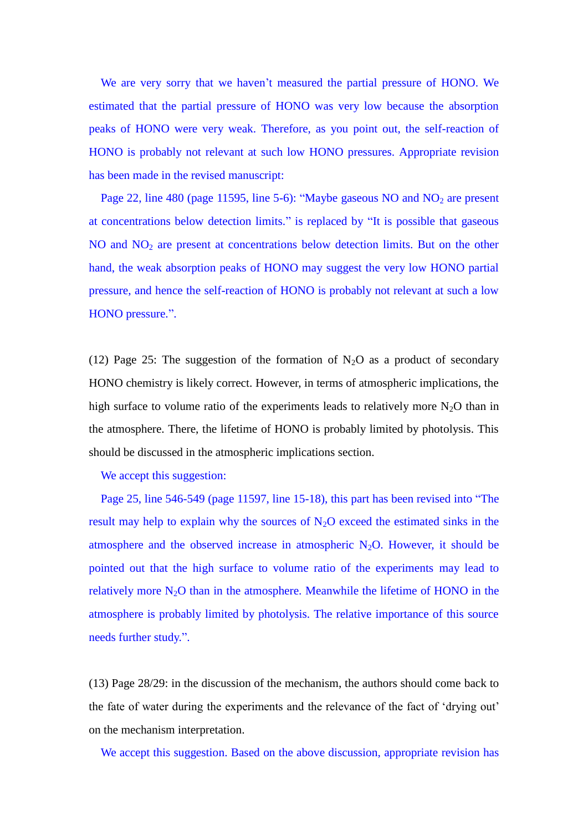We are very sorry that we haven't measured the partial pressure of HONO. We estimated that the partial pressure of HONO was very low because the absorption peaks of HONO were very weak. Therefore, as you point out, the self-reaction of HONO is probably not relevant at such low HONO pressures. Appropriate revision has been made in the revised manuscript:

Page 22, line 480 (page 11595, line 5-6): "Maybe gaseous NO and NO<sub>2</sub> are present at concentrations below detection limits." is replaced by "It is possible that gaseous  $NO$  and  $NO<sub>2</sub>$  are present at concentrations below detection limits. But on the other hand, the weak absorption peaks of HONO may suggest the very low HONO partial pressure, and hence the self-reaction of HONO is probably not relevant at such a low HONO pressure.".

(12) Page 25: The suggestion of the formation of  $N_2O$  as a product of secondary HONO chemistry is likely correct. However, in terms of atmospheric implications, the high surface to volume ratio of the experiments leads to relatively more  $N_2O$  than in the atmosphere. There, the lifetime of HONO is probably limited by photolysis. This should be discussed in the atmospheric implications section.

We accept this suggestion:

Page 25, line 546-549 (page 11597, line 15-18), this part has been revised into "The result may help to explain why the sources of  $N_2O$  exceed the estimated sinks in the atmosphere and the observed increase in atmospheric  $N_2O$ . However, it should be pointed out that the high surface to volume ratio of the experiments may lead to relatively more  $N_2O$  than in the atmosphere. Meanwhile the lifetime of HONO in the atmosphere is probably limited by photolysis. The relative importance of this source needs further study.".

(13) Page 28/29: in the discussion of the mechanism, the authors should come back to the fate of water during the experiments and the relevance of the fact of 'drying out' on the mechanism interpretation.

We accept this suggestion. Based on the above discussion, appropriate revision has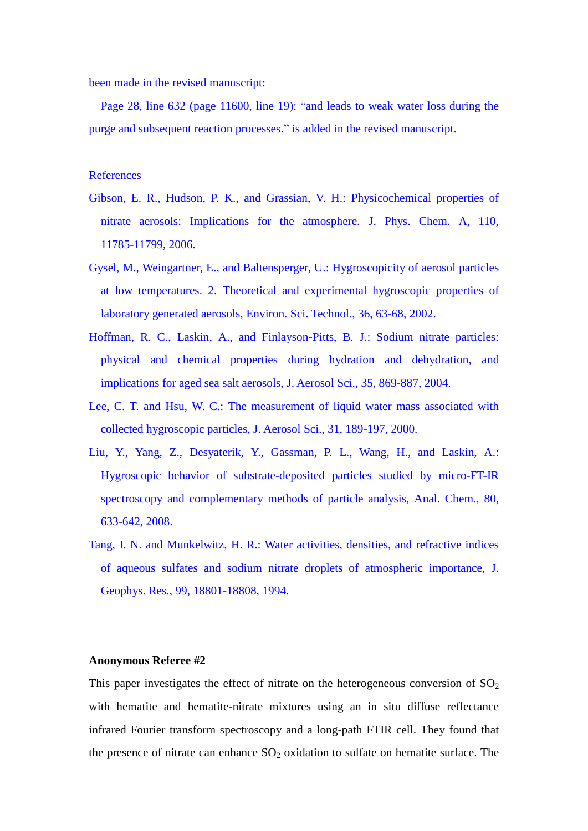been made in the revised manuscript:

Page 28, line 632 (page 11600, line 19): "and leads to weak water loss during the purge and subsequent reaction processes." is added in the revised manuscript.

# References

- Gibson, E. R., Hudson, P. K., and Grassian, V. H.: Physicochemical properties of nitrate aerosols: Implications for the atmosphere. J. Phys. Chem. A, 110, 11785-11799, 2006.
- Gysel, M., Weingartner, E., and Baltensperger, U.: Hygroscopicity of aerosol particles at low temperatures. 2. Theoretical and experimental hygroscopic properties of laboratory generated aerosols, Environ. Sci. Technol., 36, 63-68, 2002.
- Hoffman, R. C., Laskin, A., and Finlayson-Pitts, B. J.: Sodium nitrate particles: physical and chemical properties during hydration and dehydration, and implications for aged sea salt aerosols, J. Aerosol Sci., 35, 869-887, 2004.
- Lee, C. T. and Hsu, W. C.: The measurement of liquid water mass associated with collected hygroscopic particles, J. Aerosol Sci., 31, 189-197, 2000.
- Liu, Y., Yang, Z., Desyaterik, Y., Gassman, P. L., Wang, H., and Laskin, A.: Hygroscopic behavior of substrate-deposited particles studied by micro-FT-IR spectroscopy and complementary methods of particle analysis, Anal. Chem., 80, 633-642, 2008.
- Tang, I. N. and Munkelwitz, H. R.: Water activities, densities, and refractive indices of aqueous sulfates and sodium nitrate droplets of atmospheric importance, J. Geophys. Res., 99, 18801-18808, 1994.

## **Anonymous Referee #2**

This paper investigates the effect of nitrate on the heterogeneous conversion of  $SO<sub>2</sub>$ with hematite and hematite-nitrate mixtures using an in situ diffuse reflectance infrared Fourier transform spectroscopy and a long-path FTIR cell. They found that the presence of nitrate can enhance  $SO_2$  oxidation to sulfate on hematite surface. The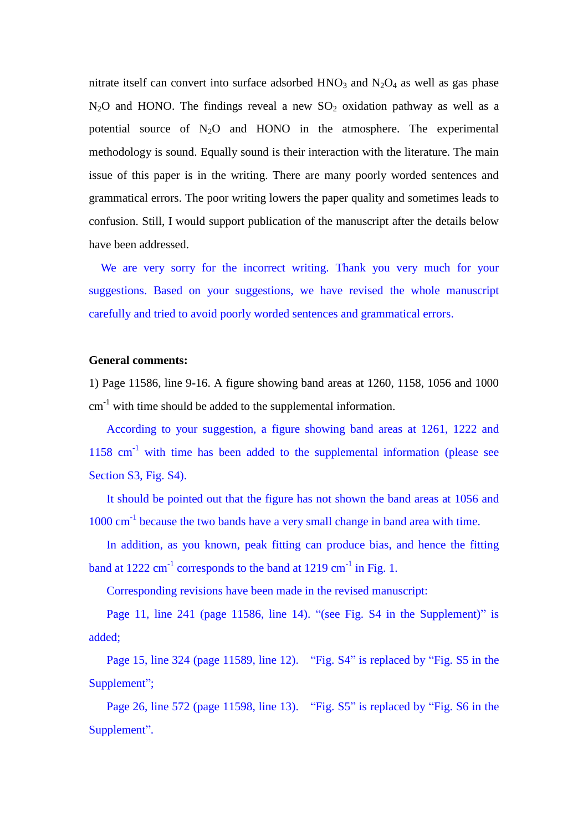nitrate itself can convert into surface adsorbed  $HNO_3$  and  $N_2O_4$  as well as gas phase  $N_2O$  and HONO. The findings reveal a new  $SO_2$  oxidation pathway as well as a potential source of  $N_2O$  and HONO in the atmosphere. The experimental methodology is sound. Equally sound is their interaction with the literature. The main issue of this paper is in the writing. There are many poorly worded sentences and grammatical errors. The poor writing lowers the paper quality and sometimes leads to confusion. Still, I would support publication of the manuscript after the details below have been addressed.

We are very sorry for the incorrect writing. Thank you very much for your suggestions. Based on your suggestions, we have revised the whole manuscript carefully and tried to avoid poorly worded sentences and grammatical errors.

#### **General comments:**

1) Page 11586, line 9-16. A figure showing band areas at 1260, 1158, 1056 and 1000 cm-1 with time should be added to the supplemental information.

According to your suggestion, a figure showing band areas at 1261, 1222 and  $1158$  cm<sup>-1</sup> with time has been added to the supplemental information (please see Section S3, Fig. S4).

It should be pointed out that the figure has not shown the band areas at 1056 and 1000 cm<sup>-1</sup> because the two bands have a very small change in band area with time.

In addition, as you known, peak fitting can produce bias, and hence the fitting band at  $1222 \text{ cm}^{-1}$  corresponds to the band at  $1219 \text{ cm}^{-1}$  in Fig. 1.

Corresponding revisions have been made in the revised manuscript:

Page 11, line 241 (page 11586, line 14). "(see Fig. S4 in the Supplement)" is added;

Page 15, line 324 (page 11589, line 12). "Fig. S4" is replaced by "Fig. S5 in the Supplement";

Page 26, line 572 (page 11598, line 13). "Fig. S5" is replaced by "Fig. S6 in the Supplement".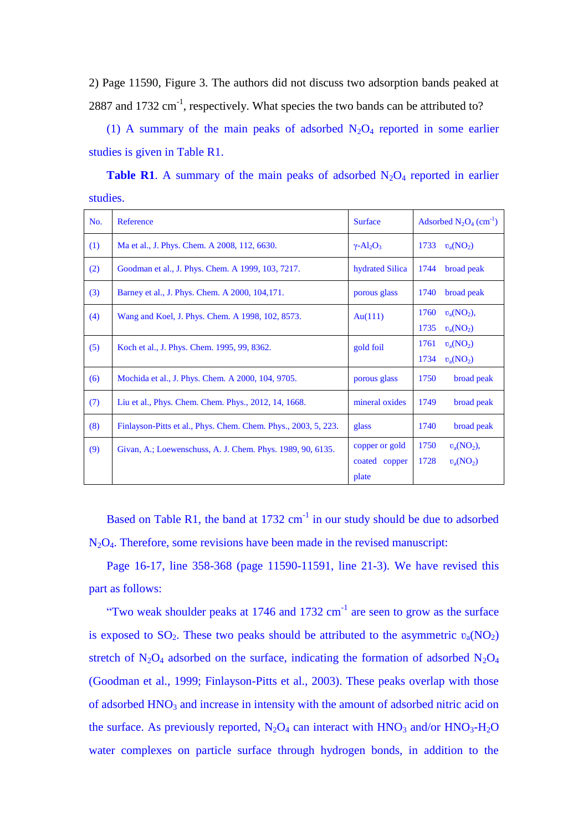2) Page 11590, Figure 3. The authors did not discuss two adsorption bands peaked at 2887 and 1732  $\text{cm}^{-1}$ , respectively. What species the two bands can be attributed to?

(1) A summary of the main peaks of adsorbed  $N_2O_4$  reported in some earlier studies is given in Table R1.

**Table R1**. A summary of the main peaks of adsorbed  $N_2O_4$  reported in earlier studies.

| No. | Reference                                                      | <b>Surface</b>                           | Adsorbed $N_2O_4$ (cm <sup>-1</sup> )               |
|-----|----------------------------------------------------------------|------------------------------------------|-----------------------------------------------------|
| (1) | Ma et al., J. Phys. Chem. A 2008, 112, 6630.                   | $\gamma$ -Al <sub>2</sub> O <sub>3</sub> | 1733<br>$v_a(NO_2)$                                 |
| (2) | Goodman et al., J. Phys. Chem. A 1999, 103, 7217.              | hydrated Silica                          | 1744<br>broad peak                                  |
| (3) | Barney et al., J. Phys. Chem. A 2000, 104, 171.                | porous glass                             | 1740<br>broad peak                                  |
| (4) | Wang and Koel, J. Phys. Chem. A 1998, 102, 8573.               | Au(111)                                  | 1760<br>$v_a(NO_2),$<br>1735<br>$v_a(NO_2)$         |
| (5) | Koch et al., J. Phys. Chem. 1995, 99, 8362.                    | gold foil                                | $v_a(NO_2)$<br>1761<br>$v_a(NO_2)$<br>1734          |
| (6) | Mochida et al., J. Phys. Chem. A 2000, 104, 9705.              | porous glass                             | 1750<br>broad peak                                  |
| (7) | Liu et al., Phys. Chem. Chem. Phys., 2012, 14, 1668.           | mineral oxides                           | 1749<br>broad peak                                  |
| (8) | Finlayson-Pitts et al., Phys. Chem. Chem. Phys., 2003, 5, 223. | glass                                    | 1740<br>broad peak                                  |
| (9) | Givan, A.; Loewenschuss, A. J. Chem. Phys. 1989, 90, 6135.     | copper or gold<br>coated copper<br>plate | 1750<br>$v_a(\text{NO}_2)$ ,<br>1728<br>$v_a(NO_2)$ |

Based on Table R1, the band at  $1732 \text{ cm}^{-1}$  in our study should be due to adsorbed  $N<sub>2</sub>O<sub>4</sub>$ . Therefore, some revisions have been made in the revised manuscript:

Page 16-17, line 358-368 (page 11590-11591, line 21-3). We have revised this part as follows:

"Two weak shoulder peaks at  $1746$  and  $1732$  cm<sup>-1</sup> are seen to grow as the surface is exposed to SO<sub>2</sub>. These two peaks should be attributed to the asymmetric  $v_a(NO_2)$ stretch of  $N_2O_4$  adsorbed on the surface, indicating the formation of adsorbed  $N_2O_4$ (Goodman et al., 1999; Finlayson-Pitts et al., 2003). These peaks overlap with those of adsorbed HNO<sub>3</sub> and increase in intensity with the amount of adsorbed nitric acid on the surface. As previously reported,  $N_2O_4$  can interact with  $HNO_3$  and/or  $HNO_3$ -H<sub>2</sub>O water complexes on particle surface through hydrogen bonds, in addition to the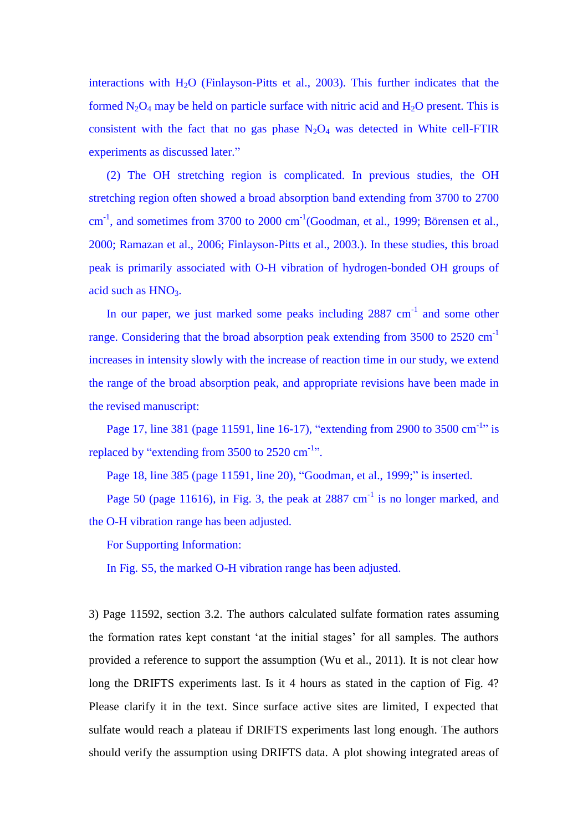interactions with  $H<sub>2</sub>O$  (Finlayson-Pitts et al., 2003). This further indicates that the formed  $N_2O_4$  may be held on particle surface with nitric acid and  $H_2O$  present. This is consistent with the fact that no gas phase  $N_2O_4$  was detected in White cell-FTIR experiments as discussed later."

(2) The OH stretching region is complicated. In previous studies, the OH stretching region often showed a broad absorption band extending from 3700 to 2700  $cm<sup>-1</sup>$ , and sometimes from 3700 to 2000  $cm<sup>-1</sup>$  (Goodman, et al., 1999; B örensen et al., 2000; Ramazan et al., 2006; Finlayson-Pitts et al., 2003.). In these studies, this broad peak is primarily associated with O-H vibration of hydrogen-bonded OH groups of acid such as  $HNO<sub>3</sub>$ .

In our paper, we just marked some peaks including  $2887 \text{ cm}^{-1}$  and some other range. Considering that the broad absorption peak extending from 3500 to 2520 cm<sup>-1</sup> increases in intensity slowly with the increase of reaction time in our study, we extend the range of the broad absorption peak, and appropriate revisions have been made in the revised manuscript:

Page 17, line 381 (page 11591, line 16-17), "extending from 2900 to 3500 cm<sup>-1</sup>" is replaced by "extending from  $3500$  to  $2520 \text{ cm}^{-1}$ ".

Page 18, line 385 (page 11591, line 20), "Goodman, et al., 1999;" is inserted.

Page 50 (page 11616), in Fig. 3, the peak at  $2887 \text{ cm}^{-1}$  is no longer marked, and the O-H vibration range has been adjusted.

For Supporting Information:

In Fig. S5, the marked O-H vibration range has been adjusted.

3) Page 11592, section 3.2. The authors calculated sulfate formation rates assuming the formation rates kept constant 'at the initial stages' for all samples. The authors provided a reference to support the assumption (Wu et al., 2011). It is not clear how long the DRIFTS experiments last. Is it 4 hours as stated in the caption of Fig. 4? Please clarify it in the text. Since surface active sites are limited, I expected that sulfate would reach a plateau if DRIFTS experiments last long enough. The authors should verify the assumption using DRIFTS data. A plot showing integrated areas of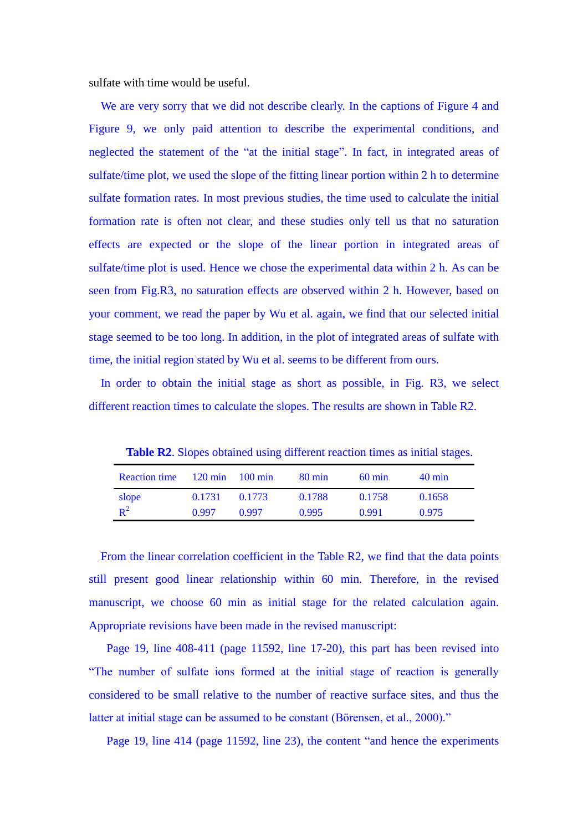sulfate with time would be useful.

We are very sorry that we did not describe clearly. In the captions of Figure 4 and Figure 9, we only paid attention to describe the experimental conditions, and neglected the statement of the "at the initial stage". In fact, in integrated areas of sulfate/time plot, we used the slope of the fitting linear portion within 2 h to determine sulfate formation rates. In most previous studies, the time used to calculate the initial formation rate is often not clear, and these studies only tell us that no saturation effects are expected or the slope of the linear portion in integrated areas of sulfate/time plot is used. Hence we chose the experimental data within 2 h. As can be seen from Fig.R3, no saturation effects are observed within 2 h. However, based on your comment, we read the paper by Wu et al. again, we find that our selected initial stage seemed to be too long. In addition, in the plot of integrated areas of sulfate with time, the initial region stated by Wu et al. seems to be different from ours.

In order to obtain the initial stage as short as possible, in Fig. R3, we select different reaction times to calculate the slopes. The results are shown in Table R2.

**Table R2**. Slopes obtained using different reaction times as initial stages.

| Reaction time 120 min 100 min |        |        | $80 \text{ min}$ | $60 \text{ min}$ | $40 \text{ min}$ |
|-------------------------------|--------|--------|------------------|------------------|------------------|
| slope                         | 0.1731 | 0.1773 | 0.1788           | 0.1758           | 0.1658           |
| $\mathbb{R}^2$                | 0.997  | 0.997  | 0.995            | 0.991            | 0.975            |

From the linear correlation coefficient in the Table R2, we find that the data points still present good linear relationship within 60 min. Therefore, in the revised manuscript, we choose 60 min as initial stage for the related calculation again. Appropriate revisions have been made in the revised manuscript:

Page 19, line 408-411 (page 11592, line 17-20), this part has been revised into "The number of sulfate ions formed at the initial stage of reaction is generally considered to be small relative to the number of reactive surface sites, and thus the latter at initial stage can be assumed to be constant (Börensen, et al., 2000)."

Page 19, line 414 (page 11592, line 23), the content "and hence the experiments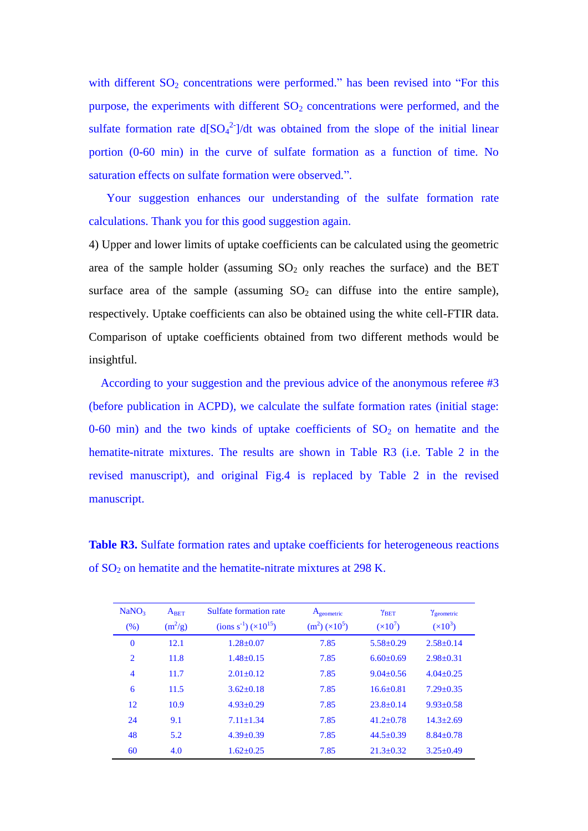with different  $SO<sub>2</sub>$  concentrations were performed." has been revised into "For this purpose, the experiments with different  $SO<sub>2</sub>$  concentrations were performed, and the sulfate formation rate  $d[SO_4^2^-]/dt$  was obtained from the slope of the initial linear portion (0-60 min) in the curve of sulfate formation as a function of time. No saturation effects on sulfate formation were observed.".

 Your suggestion enhances our understanding of the sulfate formation rate calculations. Thank you for this good suggestion again.

4) Upper and lower limits of uptake coefficients can be calculated using the geometric area of the sample holder (assuming  $SO_2$  only reaches the surface) and the BET surface area of the sample (assuming  $SO_2$  can diffuse into the entire sample), respectively. Uptake coefficients can also be obtained using the white cell-FTIR data. Comparison of uptake coefficients obtained from two different methods would be insightful.

According to your suggestion and the previous advice of the anonymous referee #3 (before publication in ACPD), we calculate the sulfate formation rates (initial stage: 0-60 min) and the two kinds of uptake coefficients of  $SO_2$  on hematite and the hematite-nitrate mixtures. The results are shown in Table R3 (i.e. Table 2 in the revised manuscript), and original Fig.4 is replaced by Table 2 in the revised manuscript.

**Table R3.** Sulfate formation rates and uptake coefficients for heterogeneous reactions of  $SO<sub>2</sub>$  on hematite and the hematite-nitrate mixtures at 298 K.

| NaNO <sub>3</sub><br>(% ) | $A_{BET}$<br>$(m^2/g)$ | Sulfate formation rate<br>$\frac{\text{(ions s}^{-1})}{\text{(10)}^{15}}$ | A <sub>geometric</sub><br>$(m2) (\times 105)$ | <b>YBET</b><br>$(x10^7)$ | $\gamma$ <sub>geometric</sub><br>$(x10^3)$ |
|---------------------------|------------------------|---------------------------------------------------------------------------|-----------------------------------------------|--------------------------|--------------------------------------------|
| $\bf{0}$                  | 12.1                   | $1.28 + 0.07$                                                             | 7.85                                          | $5.58 + 0.29$            | $2.58 + 0.14$                              |
| $\overline{2}$            | 11.8                   | $1.48 + 0.15$                                                             | 7.85                                          | $6.60 + 0.69$            | $2.98 + 0.31$                              |
| $\overline{4}$            | 11.7                   | $2.01 + 0.12$                                                             | 7.85                                          | $9.04 + 0.56$            | $4.04 + 0.25$                              |
| 6                         | 11.5                   | $3.62 + 0.18$                                                             | 7.85                                          | $16.6 + 0.81$            | $7.29 + 0.35$                              |
| 12                        | 10.9                   | $4.93 + 0.29$                                                             | 7.85                                          | $23.8 + 0.14$            | $9.93 + 0.58$                              |
| 24                        | 9.1                    | $7.11 + 1.34$                                                             | 7.85                                          | $41.2 + 0.78$            | $14.3 + 2.69$                              |
| 48                        | 5.2                    | $4.39 + 0.39$                                                             | 7.85                                          | $44.5 + 0.39$            | $8.84 + 0.78$                              |
| 60                        | 4.0                    | $1.62 + 0.25$                                                             | 7.85                                          | $21.3 + 0.32$            | $3.25 + 0.49$                              |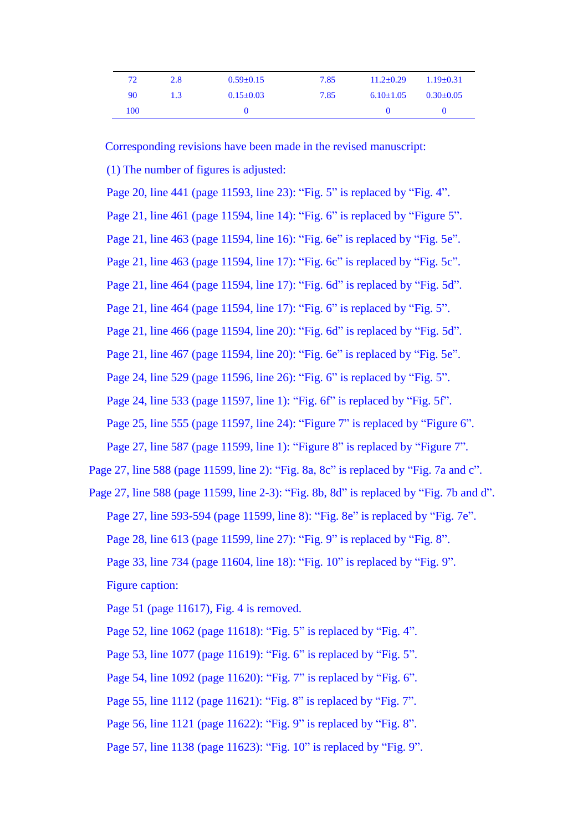| 72  | 2.8              | $0.59 + 0.15$   | 7.85 | $11.2 + 0.29$ | $1.19 + 0.31$ |
|-----|------------------|-----------------|------|---------------|---------------|
| 90  | 1.3 <sup>1</sup> | $0.15 \pm 0.03$ | 7.85 | $6.10\pm1.05$ | $0.30 - 0.05$ |
| 100 |                  |                 |      |               |               |

Corresponding revisions have been made in the revised manuscript:

(1) The number of figures is adjusted:

 Page 20, line 441 (page 11593, line 23): "Fig. 5" is replaced by "Fig. 4". Page 21, line 461 (page 11594, line 14): "Fig. 6" is replaced by "Figure 5". Page 21, line 463 (page 11594, line 16): "Fig. 6e" is replaced by "Fig. 5e". Page 21, line 463 (page 11594, line 17): "Fig. 6c" is replaced by "Fig. 5c". Page 21, line 464 (page 11594, line 17): "Fig. 6d" is replaced by "Fig. 5d". Page 21, line 464 (page 11594, line 17): "Fig. 6" is replaced by "Fig. 5". Page 21, line 466 (page 11594, line 20): "Fig. 6d" is replaced by "Fig. 5d". Page 21, line 467 (page 11594, line 20): "Fig. 6e" is replaced by "Fig. 5e". Page 24, line 529 (page 11596, line 26): "Fig. 6" is replaced by "Fig. 5". Page 24, line 533 (page 11597, line 1): "Fig. 6f" is replaced by "Fig. 5f". Page 25, line 555 (page 11597, line 24): "Figure 7" is replaced by "Figure 6". Page 27, line 587 (page 11599, line 1): "Figure 8" is replaced by "Figure 7". Page 27, line 588 (page 11599, line 2): "Fig. 8a, 8c" is replaced by "Fig. 7a and c". Page 27, line 588 (page 11599, line 2-3): "Fig. 8b, 8d" is replaced by "Fig. 7b and d". Page 27, line 593-594 (page 11599, line 8): "Fig. 8e" is replaced by "Fig. 7e". Page 28, line 613 (page 11599, line 27): "Fig. 9" is replaced by "Fig. 8". Page 33, line 734 (page 11604, line 18): "Fig. 10" is replaced by "Fig. 9".

Figure caption:

Page 51 (page 11617), Fig. 4 is removed.

Page 52, line 1062 (page 11618): "Fig. 5" is replaced by "Fig. 4". Page 53, line 1077 (page 11619): "Fig. 6" is replaced by "Fig. 5". Page 54, line 1092 (page 11620): "Fig. 7" is replaced by "Fig. 6". Page 55, line 1112 (page 11621): "Fig. 8" is replaced by "Fig. 7". Page 56, line 1121 (page 11622): "Fig. 9" is replaced by "Fig. 8". Page 57, line 1138 (page 11623): "Fig. 10" is replaced by "Fig. 9".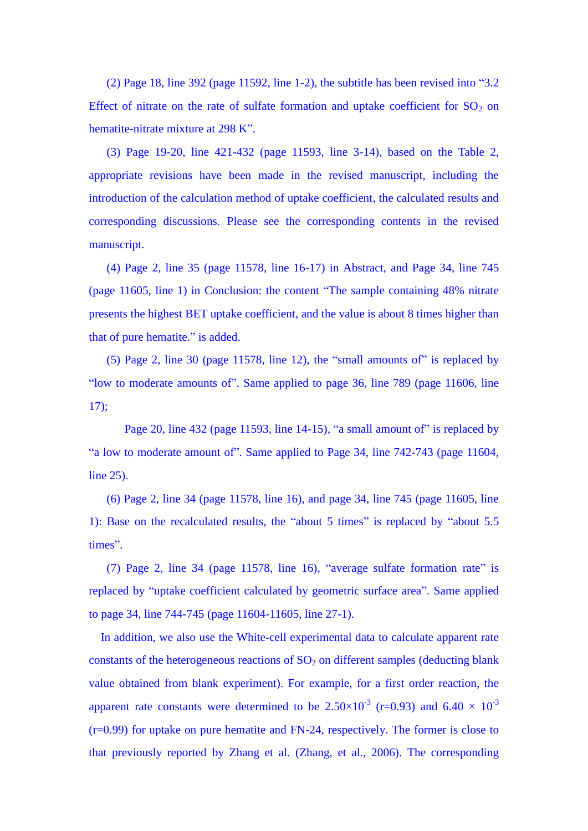(2) Page 18, line 392 (page 11592, line 1-2), the subtitle has been revised into "3.2 Effect of nitrate on the rate of sulfate formation and uptake coefficient for  $SO_2$  on hematite-nitrate mixture at 298 K".

(3) Page 19-20, line 421-432 (page 11593, line 3-14), based on the Table 2, appropriate revisions have been made in the revised manuscript, including the introduction of the calculation method of uptake coefficient, the calculated results and corresponding discussions. Please see the corresponding contents in the revised manuscript.

 (4) Page 2, line 35 (page 11578, line 16-17) in Abstract, and Page 34, line 745 (page 11605, line 1) in Conclusion: the content "The sample containing 48% nitrate presents the highest BET uptake coefficient, and the value is about 8 times higher than that of pure hematite." is added.

 (5) Page 2, line 30 (page 11578, line 12), the "small amounts of" is replaced by "low to moderate amounts of". Same applied to page 36, line 789 (page 11606, line 17);

Page 20, line 432 (page 11593, line 14-15), "a small amount of" is replaced by "a low to moderate amount of". Same applied to Page 34, line 742-743 (page 11604, line 25).

 (6) Page 2, line 34 (page 11578, line 16), and page 34, line 745 (page 11605, line 1): Base on the recalculated results, the "about 5 times" is replaced by "about 5.5 times".

 (7) Page 2, line 34 (page 11578, line 16), "average sulfate formation rate" is replaced by "uptake coefficient calculated by geometric surface area". Same applied to page 34, line 744-745 (page 11604-11605, line 27-1).

In addition, we also use the White-cell experimental data to calculate apparent rate constants of the heterogeneous reactions of  $SO<sub>2</sub>$  on different samples (deducting blank value obtained from blank experiment). For example, for a first order reaction, the apparent rate constants were determined to be 2.50 $\times$ 10<sup>-3</sup> (r=0.93) and 6.40  $\times$  10<sup>-3</sup> (r=0.99) for uptake on pure hematite and FN-24, respectively. The former is close to that previously reported by Zhang et al. (Zhang, et al., 2006). The corresponding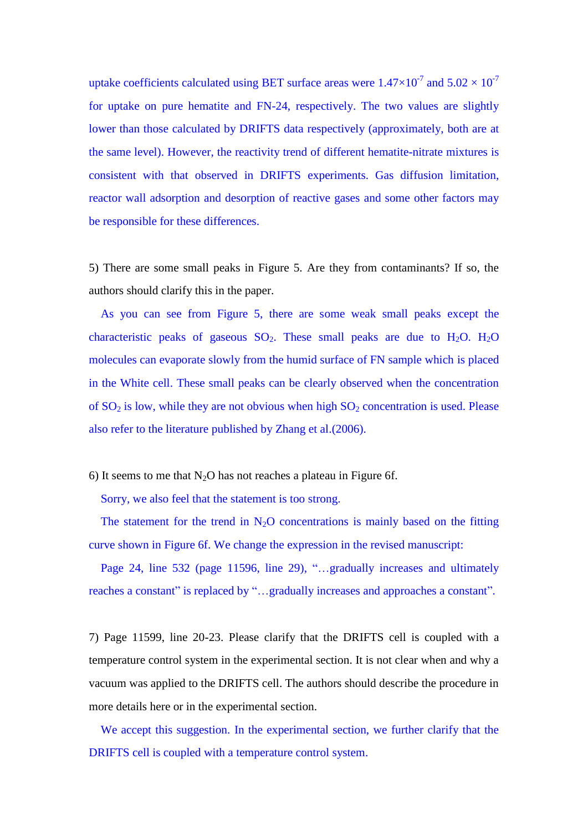uptake coefficients calculated using BET surface areas were  $1.47 \times 10^{-7}$  and  $5.02 \times 10^{-7}$ for uptake on pure hematite and FN-24, respectively. The two values are slightly lower than those calculated by DRIFTS data respectively (approximately, both are at the same level). However, the reactivity trend of different hematite-nitrate mixtures is consistent with that observed in DRIFTS experiments. Gas diffusion limitation, reactor wall adsorption and desorption of reactive gases and some other factors may be responsible for these differences.

5) There are some small peaks in Figure 5. Are they from contaminants? If so, the authors should clarify this in the paper.

As you can see from Figure 5, there are some weak small peaks except the characteristic peaks of gaseous  $SO_2$ . These small peaks are due to  $H_2O$ .  $H_2O$ molecules can evaporate slowly from the humid surface of FN sample which is placed in the White cell. These small peaks can be clearly observed when the concentration of  $SO_2$  is low, while they are not obvious when high  $SO_2$  concentration is used. Please also refer to the literature published by Zhang et al.(2006).

6) It seems to me that  $N_2O$  has not reaches a plateau in Figure 6f.

Sorry, we also feel that the statement is too strong.

The statement for the trend in  $N_2O$  concentrations is mainly based on the fitting curve shown in Figure 6f. We change the expression in the revised manuscript:

Page 24, line 532 (page 11596, line 29), "…gradually increases and ultimately reaches a constant" is replaced by "…gradually increases and approaches a constant".

7) Page 11599, line 20-23. Please clarify that the DRIFTS cell is coupled with a temperature control system in the experimental section. It is not clear when and why a vacuum was applied to the DRIFTS cell. The authors should describe the procedure in more details here or in the experimental section.

We accept this suggestion. In the experimental section, we further clarify that the DRIFTS cell is coupled with a temperature control system.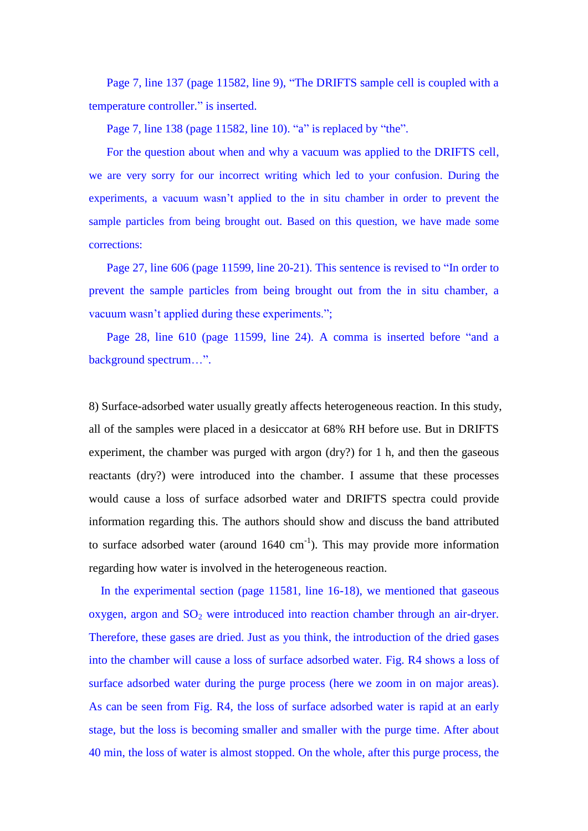Page 7, line 137 (page 11582, line 9), "The DRIFTS sample cell is coupled with a temperature controller." is inserted.

Page 7, line 138 (page 11582, line 10). "a" is replaced by "the".

For the question about when and why a vacuum was applied to the DRIFTS cell, we are very sorry for our incorrect writing which led to your confusion. During the experiments, a vacuum wasn't applied to the in situ chamber in order to prevent the sample particles from being brought out. Based on this question, we have made some corrections:

 Page 27, line 606 (page 11599, line 20-21). This sentence is revised to "In order to prevent the sample particles from being brought out from the in situ chamber, a vacuum wasn't applied during these experiments.";

 Page 28, line 610 (page 11599, line 24). A comma is inserted before "and a background spectrum…".

8) Surface-adsorbed water usually greatly affects heterogeneous reaction. In this study, all of the samples were placed in a desiccator at 68% RH before use. But in DRIFTS experiment, the chamber was purged with argon (dry?) for 1 h, and then the gaseous reactants (dry?) were introduced into the chamber. I assume that these processes would cause a loss of surface adsorbed water and DRIFTS spectra could provide information regarding this. The authors should show and discuss the band attributed to surface adsorbed water (around  $1640 \text{ cm}^{-1}$ ). This may provide more information regarding how water is involved in the heterogeneous reaction.

In the experimental section (page 11581, line 16-18), we mentioned that gaseous oxygen, argon and  $SO<sub>2</sub>$  were introduced into reaction chamber through an air-dryer. Therefore, these gases are dried. Just as you think, the introduction of the dried gases into the chamber will cause a loss of surface adsorbed water. Fig. R4 shows a loss of surface adsorbed water during the purge process (here we zoom in on major areas). As can be seen from Fig. R4, the loss of surface adsorbed water is rapid at an early stage, but the loss is becoming smaller and smaller with the purge time. After about 40 min, the loss of water is almost stopped. On the whole, after this purge process, the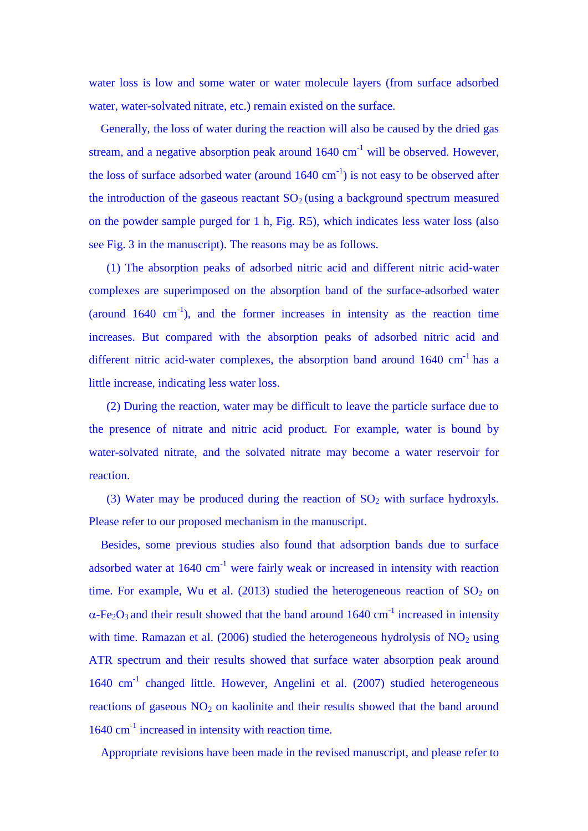water loss is low and some water or water molecule layers (from surface adsorbed water, water-solvated nitrate, etc.) remain existed on the surface.

Generally, the loss of water during the reaction will also be caused by the dried gas stream, and a negative absorption peak around  $1640 \text{ cm}^{-1}$  will be observed. However, the loss of surface adsorbed water (around  $1640 \text{ cm}^{-1}$ ) is not easy to be observed after the introduction of the gaseous reactant  $SO<sub>2</sub>$  (using a background spectrum measured on the powder sample purged for 1 h, Fig. R5), which indicates less water loss (also see Fig. 3 in the manuscript). The reasons may be as follows.

(1) The absorption peaks of adsorbed nitric acid and different nitric acid-water complexes are superimposed on the absorption band of the surface-adsorbed water (around  $1640 \text{ cm}^{-1}$ ), and the former increases in intensity as the reaction time increases. But compared with the absorption peaks of adsorbed nitric acid and different nitric acid-water complexes, the absorption band around  $1640 \text{ cm}^{-1}$  has a little increase, indicating less water loss.

(2) During the reaction, water may be difficult to leave the particle surface due to the presence of nitrate and nitric acid product. For example, water is bound by water-solvated nitrate, and the solvated nitrate may become a water reservoir for reaction.

(3) Water may be produced during the reaction of  $SO<sub>2</sub>$  with surface hydroxyls. Please refer to our proposed mechanism in the manuscript.

Besides, some previous studies also found that adsorption bands due to surface adsorbed water at  $1640 \text{ cm}^{-1}$  were fairly weak or increased in intensity with reaction time. For example, Wu et al. (2013) studied the heterogeneous reaction of  $SO_2$  on  $\alpha$ -Fe<sub>2</sub>O<sub>3</sub> and their result showed that the band around 1640 cm<sup>-1</sup> increased in intensity with time. Ramazan et al.  $(2006)$  studied the heterogeneous hydrolysis of  $NO<sub>2</sub>$  using ATR spectrum and their results showed that surface water absorption peak around 1640 cm<sup>-1</sup> changed little. However, Angelini et al. (2007) studied heterogeneous reactions of gaseous  $NO<sub>2</sub>$  on kaolinite and their results showed that the band around 1640 cm<sup>-1</sup> increased in intensity with reaction time.

Appropriate revisions have been made in the revised manuscript, and please refer to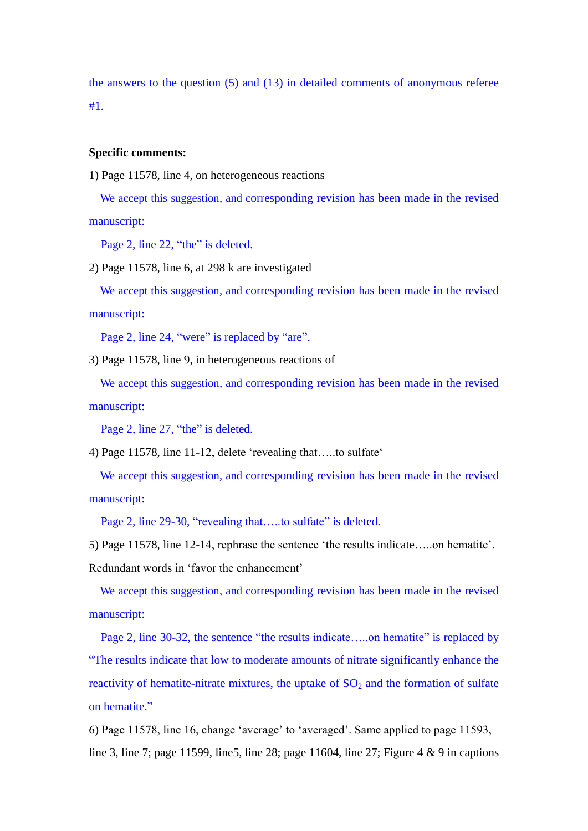the answers to the question (5) and (13) in detailed comments of anonymous referee #1.

### **Specific comments:**

1) Page 11578, line 4, on heterogeneous reactions

We accept this suggestion, and corresponding revision has been made in the revised manuscript:

Page 2, line 22, "the" is deleted.

2) Page 11578, line 6, at 298 k are investigated

We accept this suggestion, and corresponding revision has been made in the revised manuscript:

Page 2, line 24, "were" is replaced by "are".

3) Page 11578, line 9, in heterogeneous reactions of

We accept this suggestion, and corresponding revision has been made in the revised manuscript:

Page 2, line 27, "the" is deleted.

4) Page 11578, line 11-12, delete 'revealing that…..to sulfate'

We accept this suggestion, and corresponding revision has been made in the revised manuscript:

Page 2, line 29-30, "revealing that....to sulfate" is deleted.

5) Page 11578, line 12-14, rephrase the sentence 'the results indicate…..on hematite'. Redundant words in 'favor the enhancement'

We accept this suggestion, and corresponding revision has been made in the revised manuscript:

Page 2, line 30-32, the sentence "the results indicate.....on hematite" is replaced by "The results indicate that low to moderate amounts of nitrate significantly enhance the reactivity of hematite-nitrate mixtures, the uptake of  $SO<sub>2</sub>$  and the formation of sulfate on hematite."

6) Page 11578, line 16, change 'average' to 'averaged'. Same applied to page 11593, line 3, line 7; page 11599, line 5, line 28; page 11604, line 27; Figure 4 & 9 in captions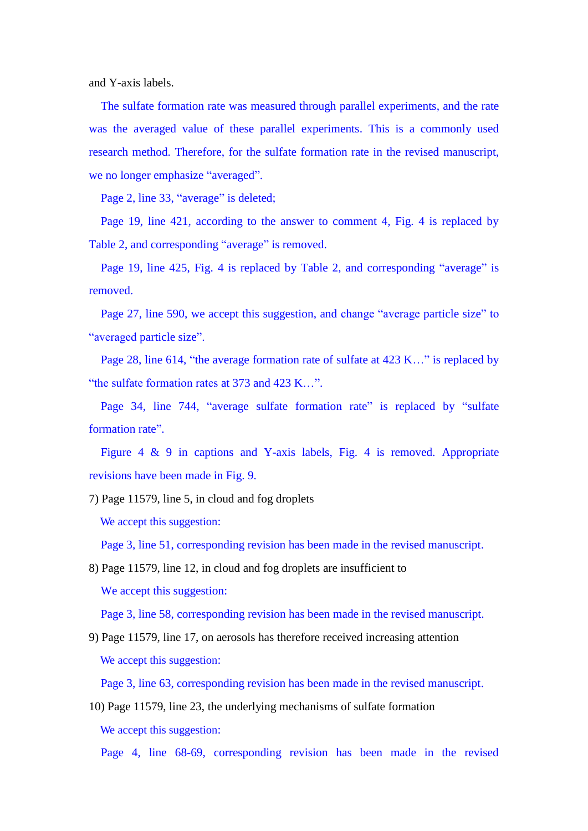and Y-axis labels.

The sulfate formation rate was measured through parallel experiments, and the rate was the averaged value of these parallel experiments. This is a commonly used research method. Therefore, for the sulfate formation rate in the revised manuscript, we no longer emphasize "averaged".

Page 2, line 33, "average" is deleted;

Page 19, line 421, according to the answer to comment 4, Fig. 4 is replaced by Table 2, and corresponding "average" is removed.

Page 19, line 425, Fig. 4 is replaced by Table 2, and corresponding "average" is removed.

Page 27, line 590, we accept this suggestion, and change "average particle size" to "averaged particle size".

Page 28, line 614, "the average formation rate of sulfate at 423 K…" is replaced by "the sulfate formation rates at 373 and 423 K…".

Page 34, line 744, "average sulfate formation rate" is replaced by "sulfate formation rate".

Figure 4 & 9 in captions and Y-axis labels, Fig. 4 is removed. Appropriate revisions have been made in Fig. 9.

7) Page 11579, line 5, in cloud and fog droplets

We accept this suggestion:

Page 3, line 51, corresponding revision has been made in the revised manuscript.

8) Page 11579, line 12, in cloud and fog droplets are insufficient to We accept this suggestion:

Page 3, line 58, corresponding revision has been made in the revised manuscript.

9) Page 11579, line 17, on aerosols has therefore received increasing attention We accept this suggestion:

Page 3, line 63, corresponding revision has been made in the revised manuscript.

10) Page 11579, line 23, the underlying mechanisms of sulfate formation We accept this suggestion:

Page 4, line 68-69, corresponding revision has been made in the revised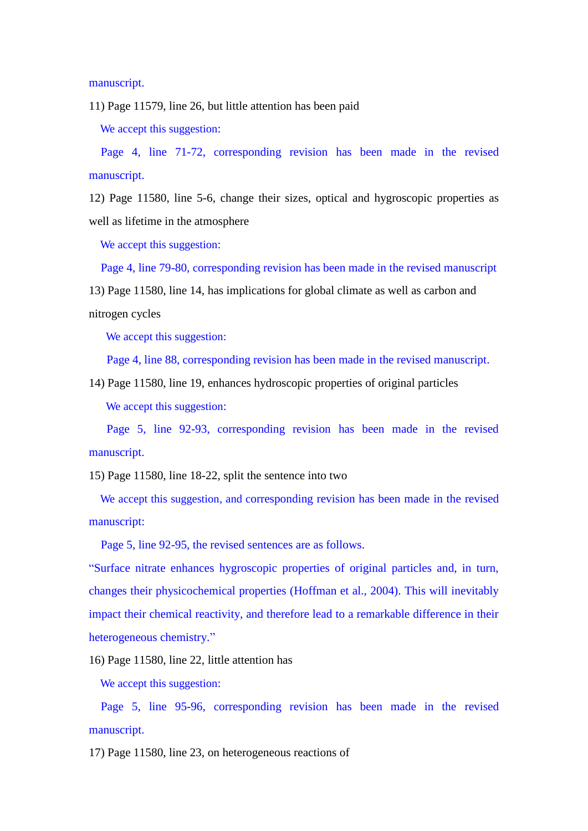manuscript.

11) Page 11579, line 26, but little attention has been paid

We accept this suggestion:

Page 4, line 71-72, corresponding revision has been made in the revised manuscript.

12) Page 11580, line 5-6, change their sizes, optical and hygroscopic properties as well as lifetime in the atmosphere

We accept this suggestion:

Page 4, line 79-80, corresponding revision has been made in the revised manuscript

13) Page 11580, line 14, has implications for global climate as well as carbon and

nitrogen cycles

We accept this suggestion:

Page 4, line 88, corresponding revision has been made in the revised manuscript.

14) Page 11580, line 19, enhances hydroscopic properties of original particles We accept this suggestion:

Page 5, line 92-93, corresponding revision has been made in the revised manuscript.

15) Page 11580, line 18-22, split the sentence into two

We accept this suggestion, and corresponding revision has been made in the revised manuscript:

Page 5, line 92-95, the revised sentences are as follows.

"Surface nitrate enhances hygroscopic properties of original particles and, in turn, changes their physicochemical properties (Hoffman et al., 2004). This will inevitably impact their chemical reactivity, and therefore lead to a remarkable difference in their heterogeneous chemistry."

16) Page 11580, line 22, little attention has

We accept this suggestion:

Page 5, line 95-96, corresponding revision has been made in the revised manuscript.

17) Page 11580, line 23, on heterogeneous reactions of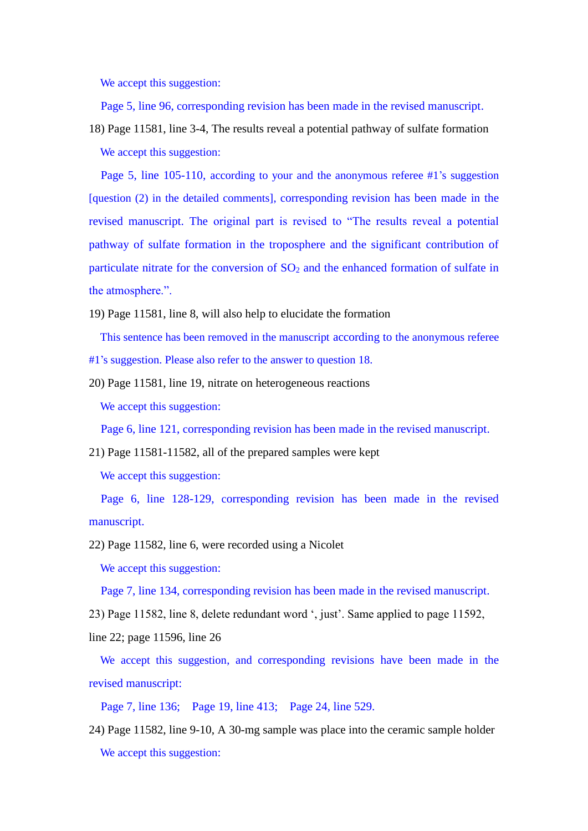We accept this suggestion:

Page 5, line 96, corresponding revision has been made in the revised manuscript.

18) Page 11581, line 3-4, The results reveal a potential pathway of sulfate formation We accept this suggestion:

Page 5, line 105-110, according to your and the anonymous referee #1's suggestion [question (2) in the detailed comments], corresponding revision has been made in the revised manuscript. The original part is revised to "The results reveal a potential pathway of sulfate formation in the troposphere and the significant contribution of particulate nitrate for the conversion of  $SO<sub>2</sub>$  and the enhanced formation of sulfate in the atmosphere.".

19) Page 11581, line 8, will also help to elucidate the formation

This sentence has been removed in the manuscript according to the anonymous referee

#1's suggestion. Please also refer to the answer to question 18.

20) Page 11581, line 19, nitrate on heterogeneous reactions We accept this suggestion:

Page 6, line 121, corresponding revision has been made in the revised manuscript.

21) Page 11581-11582, all of the prepared samples were kept

We accept this suggestion:

Page 6, line 128-129, corresponding revision has been made in the revised manuscript.

22) Page 11582, line 6, were recorded using a Nicolet

We accept this suggestion:

Page 7, line 134, corresponding revision has been made in the revised manuscript.

23) Page 11582, line 8, delete redundant word ', just'. Same applied to page 11592,

line 22; page 11596, line 26

We accept this suggestion, and corresponding revisions have been made in the revised manuscript:

Page 7, line 136; Page 19, line 413; Page 24, line 529.

24) Page 11582, line 9-10, A 30-mg sample was place into the ceramic sample holder We accept this suggestion: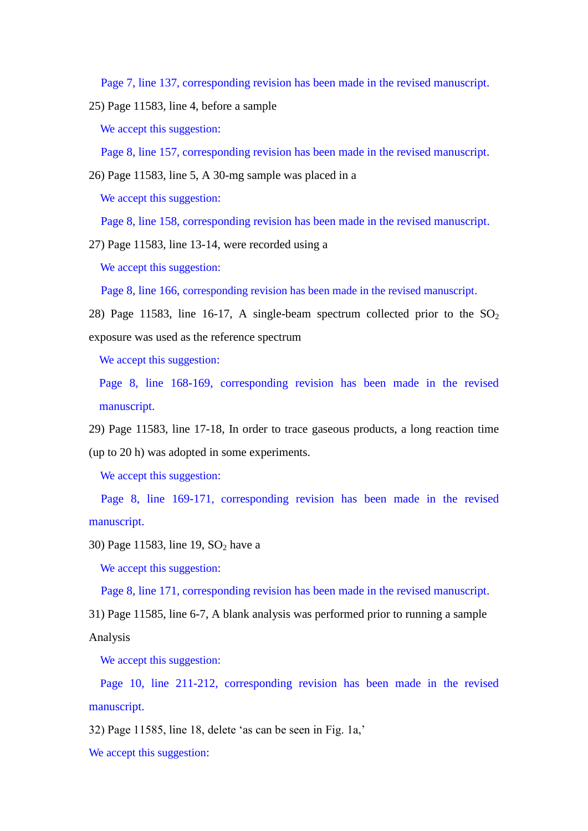Page 7, line 137, corresponding revision has been made in the revised manuscript.

25) Page 11583, line 4, before a sample

We accept this suggestion:

Page 8, line 157, corresponding revision has been made in the revised manuscript.

26) Page 11583, line 5, A 30-mg sample was placed in a

We accept this suggestion:

Page 8, line 158, corresponding revision has been made in the revised manuscript.

27) Page 11583, line 13-14, were recorded using a

We accept this suggestion:

Page 8, line 166, corresponding revision has been made in the revised manuscript.

28) Page 11583, line 16-17, A single-beam spectrum collected prior to the  $SO_2$ exposure was used as the reference spectrum

We accept this suggestion:

Page 8, line 168-169, corresponding revision has been made in the revised manuscript.

29) Page 11583, line 17-18, In order to trace gaseous products, a long reaction time (up to 20 h) was adopted in some experiments.

We accept this suggestion:

Page 8, line 169-171, corresponding revision has been made in the revised manuscript.

30) Page 11583, line 19,  $SO<sub>2</sub>$  have a

We accept this suggestion:

Page 8, line 171, corresponding revision has been made in the revised manuscript.

31) Page 11585, line 6-7, A blank analysis was performed prior to running a sample Analysis

We accept this suggestion:

Page 10, line 211-212, corresponding revision has been made in the revised manuscript.

32) Page 11585, line 18, delete 'as can be seen in Fig. 1a,'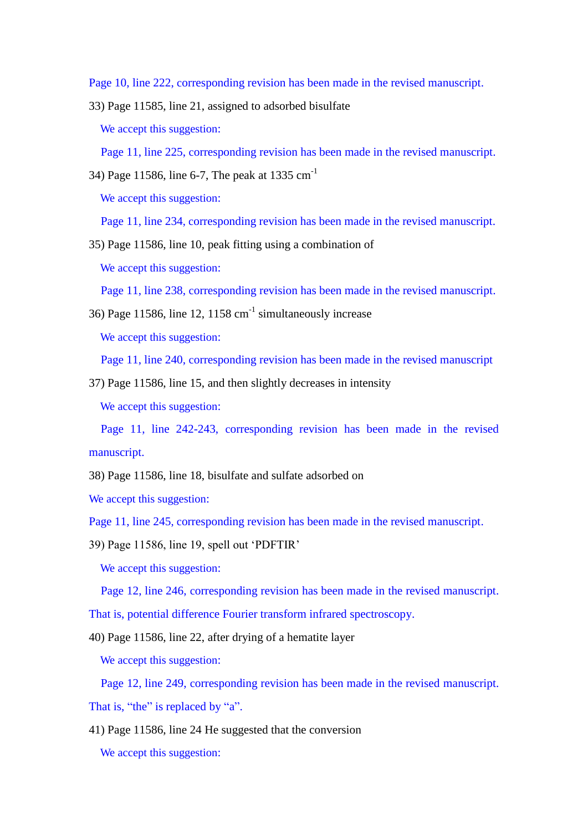Page 10, line 222, corresponding revision has been made in the revised manuscript.

33) Page 11585, line 21, assigned to adsorbed bisulfate We accept this suggestion:

Page 11, line 225, corresponding revision has been made in the revised manuscript.

34) Page 11586, line 6-7, The peak at 1335  $cm^{-1}$ 

We accept this suggestion:

Page 11, line 234, corresponding revision has been made in the revised manuscript.

35) Page 11586, line 10, peak fitting using a combination of We accept this suggestion:

Page 11, line 238, corresponding revision has been made in the revised manuscript.

36) Page 11586, line 12, 1158  $\text{cm}^{-1}$  simultaneously increase

We accept this suggestion:

Page 11, line 240, corresponding revision has been made in the revised manuscript

37) Page 11586, line 15, and then slightly decreases in intensity

We accept this suggestion:

Page 11, line 242-243, corresponding revision has been made in the revised manuscript.

38) Page 11586, line 18, bisulfate and sulfate adsorbed on

We accept this suggestion:

Page 11, line 245, corresponding revision has been made in the revised manuscript.

39) Page 11586, line 19, spell out 'PDFTIR'

We accept this suggestion:

Page 12, line 246, corresponding revision has been made in the revised manuscript.

That is, potential difference Fourier transform infrared spectroscopy.

40) Page 11586, line 22, after drying of a hematite layer

We accept this suggestion:

Page 12, line 249, corresponding revision has been made in the revised manuscript.

That is, "the" is replaced by "a".

41) Page 11586, line 24 He suggested that the conversion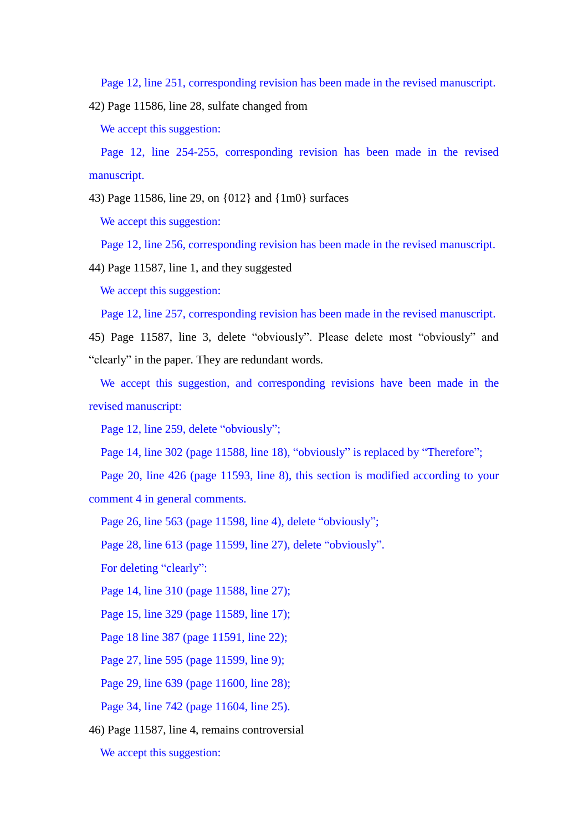Page 12, line 251, corresponding revision has been made in the revised manuscript.

42) Page 11586, line 28, sulfate changed from

We accept this suggestion:

Page 12, line 254-255, corresponding revision has been made in the revised manuscript.

43) Page 11586, line 29, on {012} and {1m0} surfaces

We accept this suggestion:

Page 12, line 256, corresponding revision has been made in the revised manuscript.

44) Page 11587, line 1, and they suggested

We accept this suggestion:

Page 12, line 257, corresponding revision has been made in the revised manuscript.

45) Page 11587, line 3, delete "obviously". Please delete most "obviously" and "clearly" in the paper. They are redundant words.

We accept this suggestion, and corresponding revisions have been made in the revised manuscript:

Page 12, line 259, delete "obviously":

Page 14, line 302 (page 11588, line 18), "obviously" is replaced by "Therefore";

Page 20, line 426 (page 11593, line 8), this section is modified according to your comment 4 in general comments.

Page 26, line 563 (page 11598, line 4), delete "obviously";

Page 28, line 613 (page 11599, line 27), delete "obviously".

For deleting "clearly":

Page 14, line 310 (page 11588, line 27);

Page 15, line 329 (page 11589, line 17);

Page 18 line 387 (page 11591, line 22);

Page 27, line 595 (page 11599, line 9);

Page 29, line 639 (page 11600, line 28);

Page 34, line 742 (page 11604, line 25).

46) Page 11587, line 4, remains controversial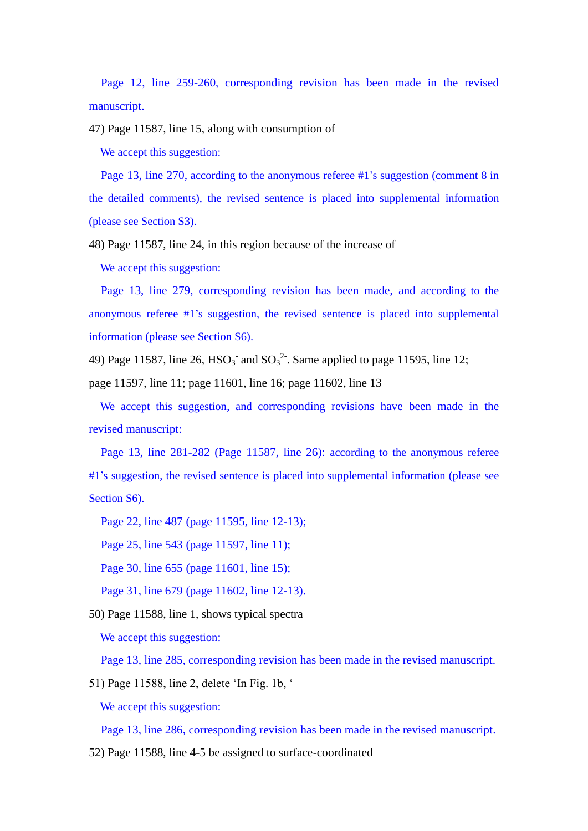Page 12, line 259-260, corresponding revision has been made in the revised manuscript.

47) Page 11587, line 15, along with consumption of

We accept this suggestion:

Page 13, line 270, according to the anonymous referee #1's suggestion (comment 8 in the detailed comments), the revised sentence is placed into supplemental information (please see Section S3).

48) Page 11587, line 24, in this region because of the increase of

We accept this suggestion:

Page 13, line 279, corresponding revision has been made, and according to the anonymous referee #1's suggestion, the revised sentence is placed into supplemental information (please see Section S6).

49) Page 11587, line 26,  $HSO_3$  and  $SO_3^2$ . Same applied to page 11595, line 12;

page 11597, line 11; page 11601, line 16; page 11602, line 13

We accept this suggestion, and corresponding revisions have been made in the revised manuscript:

Page 13, line 281-282 (Page 11587, line 26): according to the anonymous referee #1's suggestion, the revised sentence is placed into supplemental information (please see Section S6).

Page 22, line 487 (page 11595, line 12-13);

Page 25, line 543 (page 11597, line 11);

Page 30, line 655 (page 11601, line 15);

Page 31, line 679 (page 11602, line 12-13).

50) Page 11588, line 1, shows typical spectra

We accept this suggestion:

Page 13, line 285, corresponding revision has been made in the revised manuscript.

51) Page 11588, line 2, delete 'In Fig. 1b, '

We accept this suggestion:

Page 13, line 286, corresponding revision has been made in the revised manuscript.

52) Page 11588, line 4-5 be assigned to surface-coordinated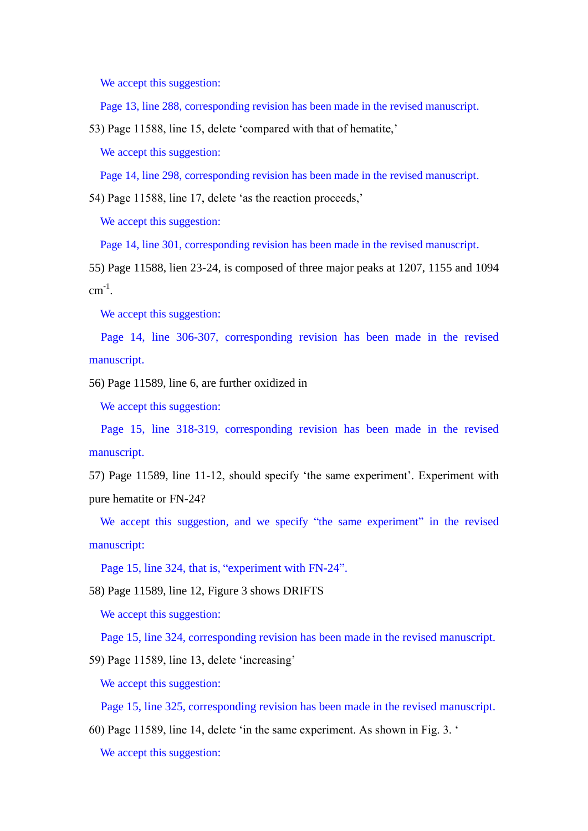We accept this suggestion:

Page 13, line 288, corresponding revision has been made in the revised manuscript.

53) Page 11588, line 15, delete 'compared with that of hematite,'

We accept this suggestion:

Page 14, line 298, corresponding revision has been made in the revised manuscript.

54) Page 11588, line 17, delete 'as the reaction proceeds,'

We accept this suggestion:

Page 14, line 301, corresponding revision has been made in the revised manuscript.

55) Page 11588, lien 23-24, is composed of three major peaks at 1207, 1155 and 1094  $cm^{-1}$ .

We accept this suggestion:

Page 14, line 306-307, corresponding revision has been made in the revised manuscript.

56) Page 11589, line 6, are further oxidized in

We accept this suggestion:

Page 15, line 318-319, corresponding revision has been made in the revised manuscript.

57) Page 11589, line 11-12, should specify 'the same experiment'. Experiment with pure hematite or FN-24?

We accept this suggestion, and we specify "the same experiment" in the revised manuscript:

Page 15, line 324, that is, "experiment with FN-24".

58) Page 11589, line 12, Figure 3 shows DRIFTS

We accept this suggestion:

Page 15, line 324, corresponding revision has been made in the revised manuscript.

59) Page 11589, line 13, delete 'increasing'

We accept this suggestion:

Page 15, line 325, corresponding revision has been made in the revised manuscript.

60) Page 11589, line 14, delete 'in the same experiment. As shown in Fig. 3. '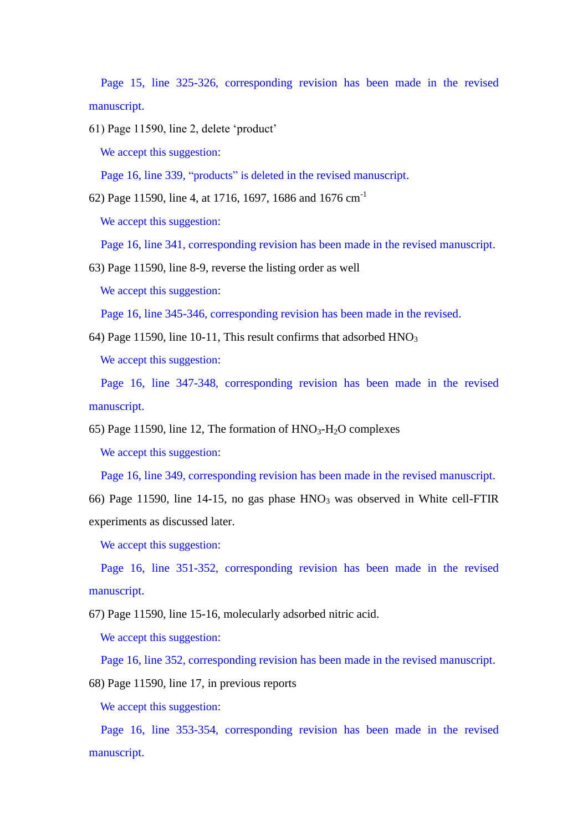Page 15, line 325-326, corresponding revision has been made in the revised manuscript.

61) Page 11590, line 2, delete 'product'

We accept this suggestion:

Page 16, line 339, "products" is deleted in the revised manuscript.

62) Page 11590, line 4, at 1716, 1697, 1686 and 1676 cm-1

We accept this suggestion:

Page 16, line 341, corresponding revision has been made in the revised manuscript.

63) Page 11590, line 8-9, reverse the listing order as well

We accept this suggestion:

Page 16, line 345-346, corresponding revision has been made in the revised.

64) Page 11590, line 10-11, This result confirms that adsorbed  $HNO<sub>3</sub>$ 

We accept this suggestion:

Page 16, line 347-348, corresponding revision has been made in the revised manuscript.

65) Page 11590, line 12, The formation of  $HNO<sub>3</sub>-H<sub>2</sub>O$  complexes

We accept this suggestion:

Page 16, line 349, corresponding revision has been made in the revised manuscript.

66) Page 11590, line 14-15, no gas phase  $HNO<sub>3</sub>$  was observed in White cell-FTIR experiments as discussed later.

We accept this suggestion:

Page 16, line 351-352, corresponding revision has been made in the revised manuscript.

67) Page 11590, line 15-16, molecularly adsorbed nitric acid.

We accept this suggestion:

Page 16, line 352, corresponding revision has been made in the revised manuscript.

68) Page 11590, line 17, in previous reports

We accept this suggestion:

Page 16, line 353-354, corresponding revision has been made in the revised manuscript.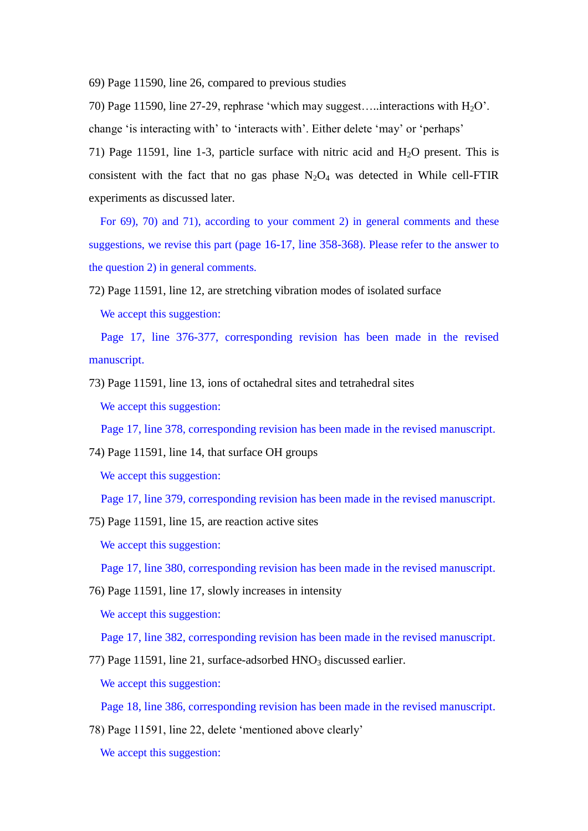69) Page 11590, line 26, compared to previous studies

70) Page 11590, line 27-29, rephrase 'which may suggest....interactions with  $H_2O'$ . change 'is interacting with' to 'interacts with'. Either delete 'may' or 'perhaps'

71) Page 11591, line 1-3, particle surface with nitric acid and  $H_2O$  present. This is consistent with the fact that no gas phase  $N_2O_4$  was detected in While cell-FTIR experiments as discussed later.

For 69), 70) and 71), according to your comment 2) in general comments and these suggestions, we revise this part (page 16-17, line 358-368). Please refer to the answer to the question 2) in general comments.

72) Page 11591, line 12, are stretching vibration modes of isolated surface

We accept this suggestion:

Page 17, line 376-377, corresponding revision has been made in the revised manuscript.

73) Page 11591, line 13, ions of octahedral sites and tetrahedral sites We accept this suggestion:

Page 17, line 378, corresponding revision has been made in the revised manuscript.

74) Page 11591, line 14, that surface OH groups

We accept this suggestion:

Page 17, line 379, corresponding revision has been made in the revised manuscript.

75) Page 11591, line 15, are reaction active sites

We accept this suggestion:

Page 17, line 380, corresponding revision has been made in the revised manuscript.

76) Page 11591, line 17, slowly increases in intensity

We accept this suggestion:

Page 17, line 382, corresponding revision has been made in the revised manuscript.

77) Page 11591, line 21, surface-adsorbed  $HNO<sub>3</sub>$  discussed earlier.

We accept this suggestion:

Page 18, line 386, corresponding revision has been made in the revised manuscript.

78) Page 11591, line 22, delete 'mentioned above clearly'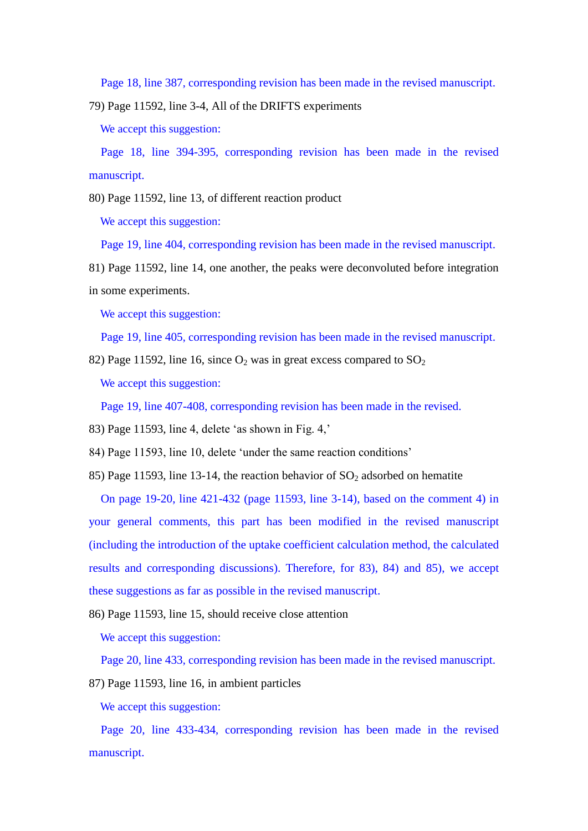Page 18, line 387, corresponding revision has been made in the revised manuscript.

79) Page 11592, line 3-4, All of the DRIFTS experiments

We accept this suggestion:

Page 18, line 394-395, corresponding revision has been made in the revised manuscript.

80) Page 11592, line 13, of different reaction product

We accept this suggestion:

Page 19, line 404, corresponding revision has been made in the revised manuscript.

81) Page 11592, line 14, one another, the peaks were deconvoluted before integration in some experiments.

We accept this suggestion:

Page 19, line 405, corresponding revision has been made in the revised manuscript.

82) Page 11592, line 16, since  $O_2$  was in great excess compared to  $SO_2$ 

We accept this suggestion:

Page 19, line 407-408, corresponding revision has been made in the revised.

83) Page 11593, line 4, delete 'as shown in Fig. 4,'

84) Page 11593, line 10, delete 'under the same reaction conditions'

85) Page 11593, line 13-14, the reaction behavior of  $SO_2$  adsorbed on hematite

On page 19-20, line 421-432 (page 11593, line 3-14), based on the comment 4) in your general comments, this part has been modified in the revised manuscript (including the introduction of the uptake coefficient calculation method, the calculated results and corresponding discussions). Therefore, for 83), 84) and 85), we accept these suggestions as far as possible in the revised manuscript.

86) Page 11593, line 15, should receive close attention

We accept this suggestion:

Page 20, line 433, corresponding revision has been made in the revised manuscript.

87) Page 11593, line 16, in ambient particles

We accept this suggestion:

Page 20, line 433-434, corresponding revision has been made in the revised manuscript.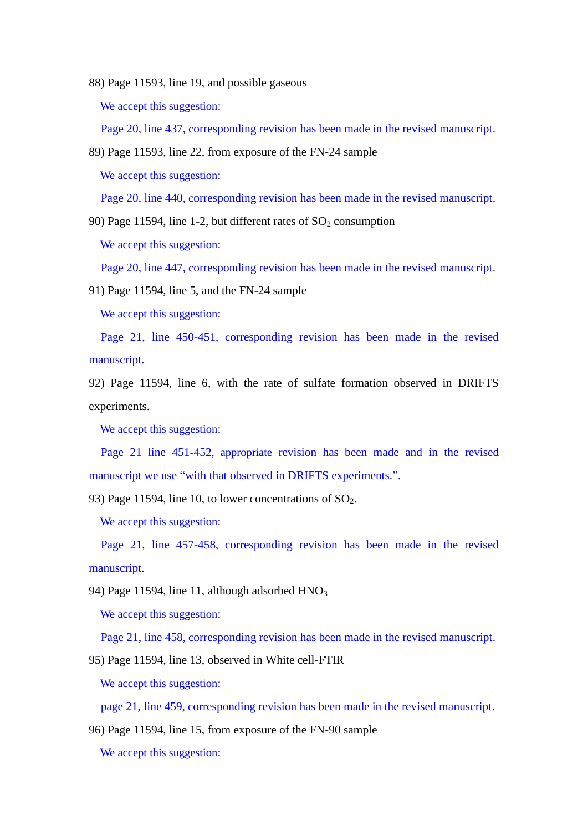88) Page 11593, line 19, and possible gaseous

We accept this suggestion:

Page 20, line 437, corresponding revision has been made in the revised manuscript.

89) Page 11593, line 22, from exposure of the FN-24 sample

We accept this suggestion:

Page 20, line 440, corresponding revision has been made in the revised manuscript.

90) Page 11594, line 1-2, but different rates of  $SO_2$  consumption

We accept this suggestion:

Page 20, line 447, corresponding revision has been made in the revised manuscript.

91) Page 11594, line 5, and the FN-24 sample

We accept this suggestion:

Page 21, line 450-451, corresponding revision has been made in the revised manuscript.

92) Page 11594, line 6, with the rate of sulfate formation observed in DRIFTS experiments.

We accept this suggestion:

Page 21 line 451-452, appropriate revision has been made and in the revised manuscript we use "with that observed in DRIFTS experiments.".

93) Page 11594, line 10, to lower concentrations of  $SO_2$ .

We accept this suggestion:

Page 21, line 457-458, corresponding revision has been made in the revised manuscript.

94) Page 11594, line 11, although adsorbed  $HNO<sub>3</sub>$ 

We accept this suggestion:

Page 21, line 458, corresponding revision has been made in the revised manuscript.

95) Page 11594, line 13, observed in White cell-FTIR

We accept this suggestion:

page 21, line 459, corresponding revision has been made in the revised manuscript.

96) Page 11594, line 15, from exposure of the FN-90 sample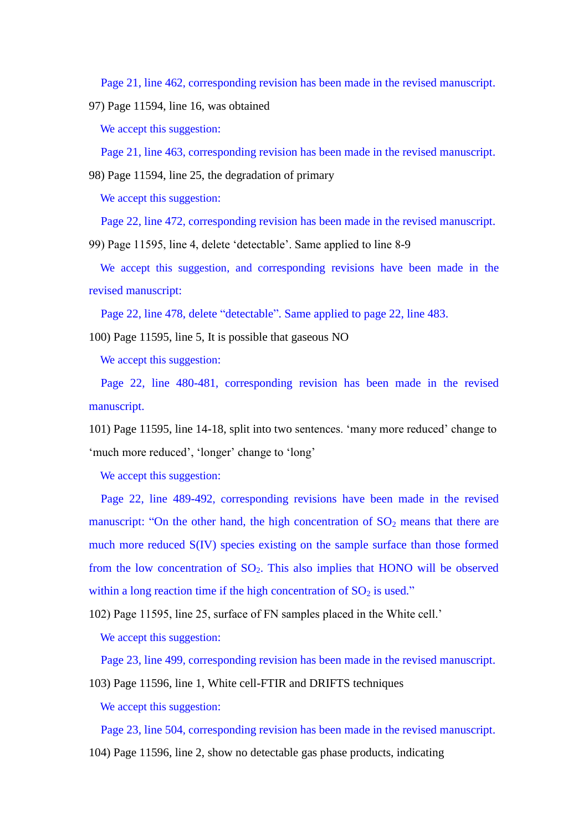Page 21, line 462, corresponding revision has been made in the revised manuscript.

97) Page 11594, line 16, was obtained

We accept this suggestion:

Page 21, line 463, corresponding revision has been made in the revised manuscript.

98) Page 11594, line 25, the degradation of primary

We accept this suggestion:

Page 22, line 472, corresponding revision has been made in the revised manuscript.

99) Page 11595, line 4, delete 'detectable'. Same applied to line 8-9

We accept this suggestion, and corresponding revisions have been made in the revised manuscript:

Page 22, line 478, delete "detectable". Same applied to page 22, line 483.

100) Page 11595, line 5, It is possible that gaseous NO

We accept this suggestion:

Page 22, line 480-481, corresponding revision has been made in the revised manuscript.

101) Page 11595, line 14-18, split into two sentences. 'many more reduced' change to 'much more reduced', 'longer' change to 'long'

We accept this suggestion:

Page 22, line 489-492, corresponding revisions have been made in the revised manuscript: "On the other hand, the high concentration of  $SO<sub>2</sub>$  means that there are much more reduced S(IV) species existing on the sample surface than those formed from the low concentration of  $SO_2$ . This also implies that HONO will be observed within a long reaction time if the high concentration of  $SO_2$  is used."

102) Page 11595, line 25, surface of FN samples placed in the White cell.'

We accept this suggestion:

Page 23, line 499, corresponding revision has been made in the revised manuscript.

103) Page 11596, line 1, White cell-FTIR and DRIFTS techniques

We accept this suggestion:

Page 23, line 504, corresponding revision has been made in the revised manuscript.

104) Page 11596, line 2, show no detectable gas phase products, indicating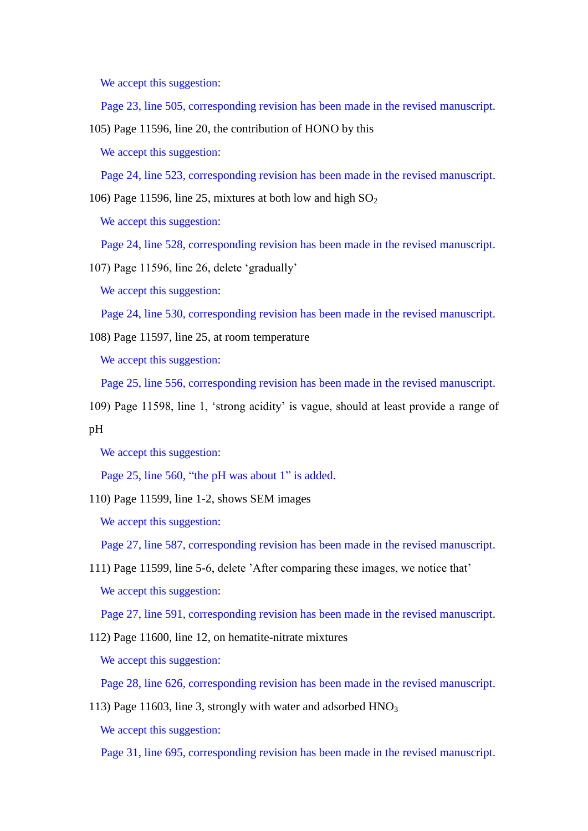We accept this suggestion:

Page 23, line 505, corresponding revision has been made in the revised manuscript.

105) Page 11596, line 20, the contribution of HONO by this

We accept this suggestion:

Page 24, line 523, corresponding revision has been made in the revised manuscript.

106) Page 11596, line 25, mixtures at both low and high  $SO_2$ 

We accept this suggestion:

Page 24, line 528, corresponding revision has been made in the revised manuscript.

107) Page 11596, line 26, delete 'gradually'

We accept this suggestion:

Page 24, line 530, corresponding revision has been made in the revised manuscript.

108) Page 11597, line 25, at room temperature

We accept this suggestion:

Page 25, line 556, corresponding revision has been made in the revised manuscript.

109) Page 11598, line 1, 'strong acidity' is vague, should at least provide a range of pH

We accept this suggestion:

Page 25, line 560, "the pH was about 1" is added.

110) Page 11599, line 1-2, shows SEM images

We accept this suggestion:

Page 27, line 587, corresponding revision has been made in the revised manuscript.

111) Page 11599, line 5-6, delete 'After comparing these images, we notice that' We accept this suggestion:

Page 27, line 591, corresponding revision has been made in the revised manuscript.

112) Page 11600, line 12, on hematite-nitrate mixtures

We accept this suggestion:

Page 28, line 626, corresponding revision has been made in the revised manuscript.

113) Page 11603, line 3, strongly with water and adsorbed  $HNO<sub>3</sub>$ We accept this suggestion:

Page 31, line 695, corresponding revision has been made in the revised manuscript.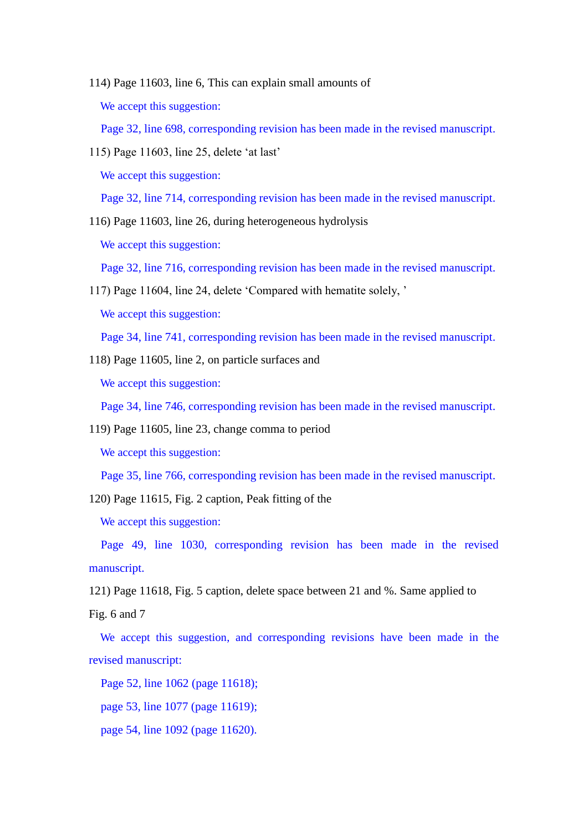- 114) Page 11603, line 6, This can explain small amounts of We accept this suggestion: Page 32, line 698, corresponding revision has been made in the revised manuscript.
- 115) Page 11603, line 25, delete 'at last' We accept this suggestion:

Page 32, line 714, corresponding revision has been made in the revised manuscript.

116) Page 11603, line 26, during heterogeneous hydrolysis

We accept this suggestion:

Page 32, line 716, corresponding revision has been made in the revised manuscript.

117) Page 11604, line 24, delete 'Compared with hematite solely, '

We accept this suggestion:

Page 34, line 741, corresponding revision has been made in the revised manuscript.

118) Page 11605, line 2, on particle surfaces and

We accept this suggestion:

Page 34, line 746, corresponding revision has been made in the revised manuscript.

119) Page 11605, line 23, change comma to period

We accept this suggestion:

Page 35, line 766, corresponding revision has been made in the revised manuscript.

120) Page 11615, Fig. 2 caption, Peak fitting of the

We accept this suggestion:

Page 49, line 1030, corresponding revision has been made in the revised manuscript.

121) Page 11618, Fig. 5 caption, delete space between 21 and %. Same applied to

Fig. 6 and 7

We accept this suggestion, and corresponding revisions have been made in the revised manuscript:

Page 52, line 1062 (page 11618);

page 53, line 1077 (page 11619);

page 54, line 1092 (page 11620).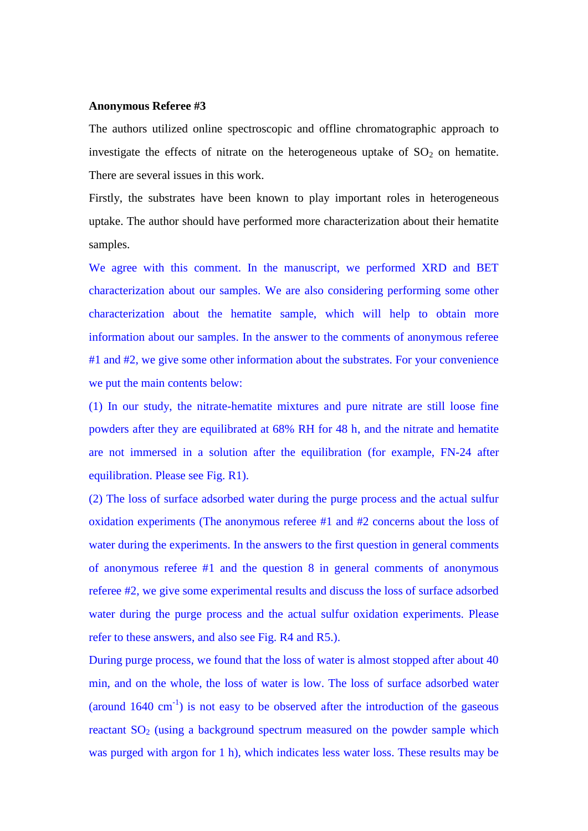#### **Anonymous Referee #3**

The authors utilized online spectroscopic and offline chromatographic approach to investigate the effects of nitrate on the heterogeneous uptake of  $SO<sub>2</sub>$  on hematite. There are several issues in this work.

Firstly, the substrates have been known to play important roles in heterogeneous uptake. The author should have performed more characterization about their hematite samples.

We agree with this comment. In the manuscript, we performed XRD and BET characterization about our samples. We are also considering performing some other characterization about the hematite sample, which will help to obtain more information about our samples. In the answer to the comments of anonymous referee #1 and #2, we give some other information about the substrates. For your convenience we put the main contents below:

(1) In our study, the nitrate-hematite mixtures and pure nitrate are still loose fine powders after they are equilibrated at 68% RH for 48 h, and the nitrate and hematite are not immersed in a solution after the equilibration (for example, FN-24 after equilibration. Please see Fig. R1).

(2) The loss of surface adsorbed water during the purge process and the actual sulfur oxidation experiments (The anonymous referee #1 and #2 concerns about the loss of water during the experiments. In the answers to the first question in general comments of anonymous referee #1 and the question 8 in general comments of anonymous referee #2, we give some experimental results and discuss the loss of surface adsorbed water during the purge process and the actual sulfur oxidation experiments. Please refer to these answers, and also see Fig. R4 and R5.).

During purge process, we found that the loss of water is almost stopped after about 40 min, and on the whole, the loss of water is low. The loss of surface adsorbed water (around  $1640 \text{ cm}^{-1}$ ) is not easy to be observed after the introduction of the gaseous reactant  $SO<sub>2</sub>$  (using a background spectrum measured on the powder sample which was purged with argon for 1 h), which indicates less water loss. These results may be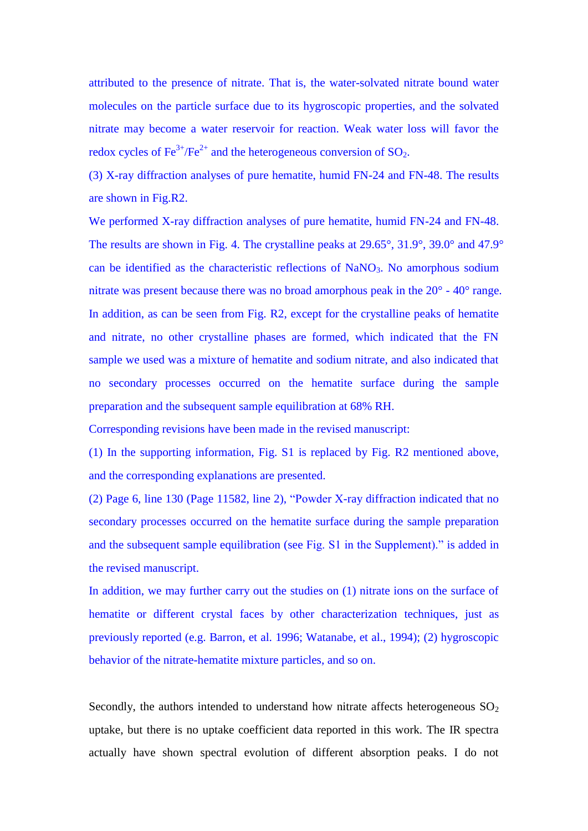attributed to the presence of nitrate. That is, the water-solvated nitrate bound water molecules on the particle surface due to its hygroscopic properties, and the solvated nitrate may become a water reservoir for reaction. Weak water loss will favor the redox cycles of  $\text{Fe}^{3+}/\text{Fe}^{2+}$  and the heterogeneous conversion of SO<sub>2</sub>.

(3) X-ray diffraction analyses of pure hematite, humid FN-24 and FN-48. The results are shown in Fig.R2.

We performed X-ray diffraction analyses of pure hematite, humid FN-24 and FN-48. The results are shown in Fig. 4. The crystalline peaks at 29.65°, 31.9°, 39.0° and 47.9° can be identified as the characteristic reflections of NaNO<sub>3</sub>. No amorphous sodium nitrate was present because there was no broad amorphous peak in the 20° - 40° range. In addition, as can be seen from Fig. R2, except for the crystalline peaks of hematite and nitrate, no other crystalline phases are formed, which indicated that the FN sample we used was a mixture of hematite and sodium nitrate, and also indicated that no secondary processes occurred on the hematite surface during the sample preparation and the subsequent sample equilibration at 68% RH.

Corresponding revisions have been made in the revised manuscript:

(1) In the supporting information, Fig. S1 is replaced by Fig. R2 mentioned above, and the corresponding explanations are presented.

(2) Page 6, line 130 (Page 11582, line 2), "Powder X-ray diffraction indicated that no secondary processes occurred on the hematite surface during the sample preparation and the subsequent sample equilibration (see Fig. S1 in the Supplement)." is added in the revised manuscript.

In addition, we may further carry out the studies on (1) nitrate ions on the surface of hematite or different crystal faces by other characterization techniques, just as previously reported (e.g. Barron, et al. 1996; Watanabe, et al., 1994); (2) hygroscopic behavior of the nitrate-hematite mixture particles, and so on.

Secondly, the authors intended to understand how nitrate affects heterogeneous  $SO_2$ uptake, but there is no uptake coefficient data reported in this work. The IR spectra actually have shown spectral evolution of different absorption peaks. I do not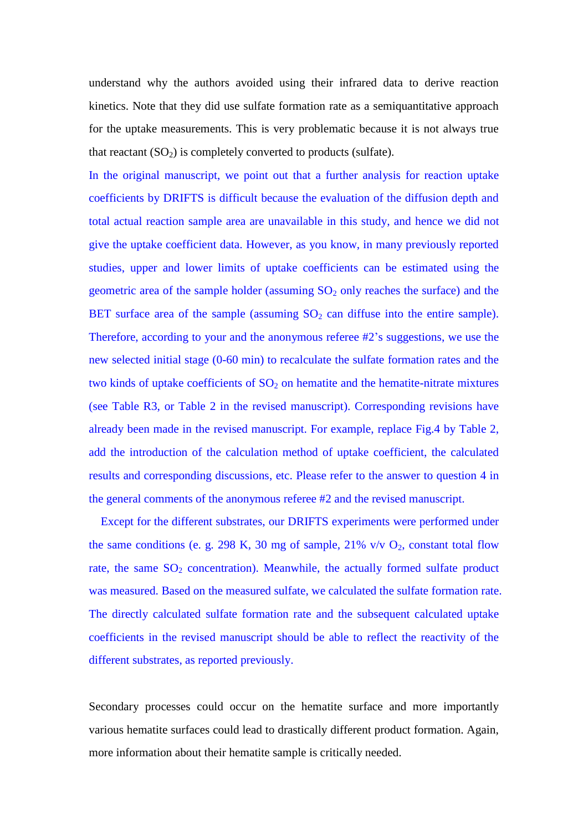understand why the authors avoided using their infrared data to derive reaction kinetics. Note that they did use sulfate formation rate as a semiquantitative approach for the uptake measurements. This is very problematic because it is not always true that reactant  $(SO_2)$  is completely converted to products (sulfate).

In the original manuscript, we point out that a further analysis for reaction uptake coefficients by DRIFTS is difficult because the evaluation of the diffusion depth and total actual reaction sample area are unavailable in this study, and hence we did not give the uptake coefficient data. However, as you know, in many previously reported studies, upper and lower limits of uptake coefficients can be estimated using the geometric area of the sample holder (assuming  $SO_2$  only reaches the surface) and the BET surface area of the sample (assuming  $SO<sub>2</sub>$  can diffuse into the entire sample). Therefore, according to your and the anonymous referee #2's suggestions, we use the new selected initial stage (0-60 min) to recalculate the sulfate formation rates and the two kinds of uptake coefficients of  $SO<sub>2</sub>$  on hematite and the hematite-nitrate mixtures (see Table R3, or Table 2 in the revised manuscript). Corresponding revisions have already been made in the revised manuscript. For example, replace Fig.4 by Table 2, add the introduction of the calculation method of uptake coefficient, the calculated results and corresponding discussions, etc. Please refer to the answer to question 4 in the general comments of the anonymous referee #2 and the revised manuscript.

Except for the different substrates, our DRIFTS experiments were performed under the same conditions (e. g. 298 K, 30 mg of sample, 21% v/v  $O_2$ , constant total flow rate, the same  $SO<sub>2</sub>$  concentration). Meanwhile, the actually formed sulfate product was measured. Based on the measured sulfate, we calculated the sulfate formation rate. The directly calculated sulfate formation rate and the subsequent calculated uptake coefficients in the revised manuscript should be able to reflect the reactivity of the different substrates, as reported previously.

Secondary processes could occur on the hematite surface and more importantly various hematite surfaces could lead to drastically different product formation. Again, more information about their hematite sample is critically needed.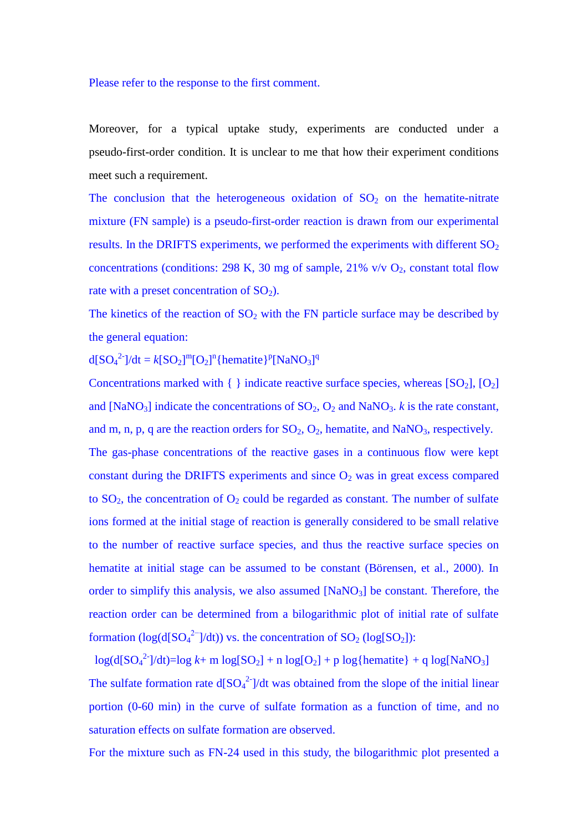#### Please refer to the response to the first comment.

Moreover, for a typical uptake study, experiments are conducted under a pseudo-first-order condition. It is unclear to me that how their experiment conditions meet such a requirement.

The conclusion that the heterogeneous oxidation of  $SO<sub>2</sub>$  on the hematite-nitrate mixture (FN sample) is a pseudo-first-order reaction is drawn from our experimental results. In the DRIFTS experiments, we performed the experiments with different  $SO<sub>2</sub>$ concentrations (conditions: 298 K, 30 mg of sample, 21% v/v  $O_2$ , constant total flow rate with a preset concentration of  $SO_2$ ).

The kinetics of the reaction of  $SO_2$  with the FN particle surface may be described by the general equation:

 $d[SO_4^2^-]/dt = k[SO_2]^m[O_2]^n$ {hematite}<sup>p</sup>[NaNO<sub>3</sub>]<sup>q</sup>

Concentrations marked with  $\{\}$  indicate reactive surface species, whereas  $[SO_2]$ ,  $[O_2]$ and [NaNO<sub>3</sub>] indicate the concentrations of  $SO_2$ ,  $O_2$  and NaNO<sub>3</sub>. *k* is the rate constant, and m, n, p, q are the reaction orders for  $SO_2$ ,  $O_2$ , hematite, and NaNO<sub>3</sub>, respectively.

The gas-phase concentrations of the reactive gases in a continuous flow were kept constant during the DRIFTS experiments and since  $O_2$  was in great excess compared to  $SO_2$ , the concentration of  $O_2$  could be regarded as constant. The number of sulfate ions formed at the initial stage of reaction is generally considered to be small relative to the number of reactive surface species, and thus the reactive surface species on hematite at initial stage can be assumed to be constant (Börensen, et al., 2000). In order to simplify this analysis, we also assumed  $[NaNO<sub>3</sub>]$  be constant. Therefore, the reaction order can be determined from a bilogarithmic plot of initial rate of sulfate formation ( $log(d[SO_4^2^-]/dt)$ ) vs. the concentration of  $SO_2$  ( $log[SO_2]$ ):

 $log(d[SO_4^2^-]/dt) = log k + m log[SO_2] + n log[O_2] + p log{hematite} + q log[NaNO_3]$ The sulfate formation rate  $d[SO_4^2]$  /dt was obtained from the slope of the initial linear portion (0-60 min) in the curve of sulfate formation as a function of time, and no saturation effects on sulfate formation are observed.

For the mixture such as FN-24 used in this study, the bilogarithmic plot presented a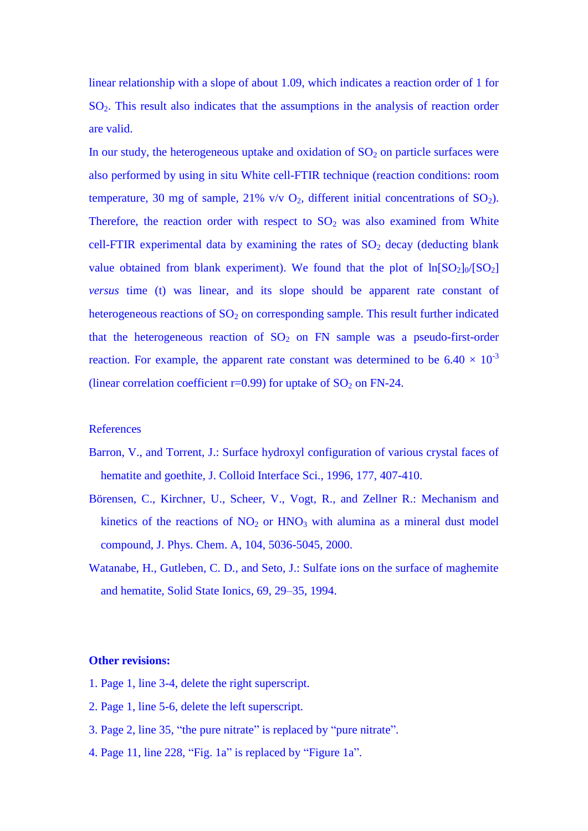linear relationship with a slope of about 1.09, which indicates a reaction order of 1 for  $SO<sub>2</sub>$ . This result also indicates that the assumptions in the analysis of reaction order are valid.

In our study, the heterogeneous uptake and oxidation of  $SO<sub>2</sub>$  on particle surfaces were also performed by using in situ White cell-FTIR technique (reaction conditions: room temperature, 30 mg of sample, 21% v/v  $O_2$ , different initial concentrations of  $SO_2$ ). Therefore, the reaction order with respect to  $SO<sub>2</sub>$  was also examined from White cell-FTIR experimental data by examining the rates of  $SO<sub>2</sub>$  decay (deducting blank value obtained from blank experiment). We found that the plot of  $ln[SO_2]_0/[SO_2]$ *versus* time (t) was linear, and its slope should be apparent rate constant of heterogeneous reactions of  $SO<sub>2</sub>$  on corresponding sample. This result further indicated that the heterogeneous reaction of  $SO_2$  on FN sample was a pseudo-first-order reaction. For example, the apparent rate constant was determined to be  $6.40 \times 10^{-3}$ (linear correlation coefficient  $r=0.99$ ) for uptake of  $SO<sub>2</sub>$  on FN-24.

#### **References**

- Barron, V., and Torrent, J.: Surface hydroxyl configuration of various crystal faces of hematite and goethite, J. Colloid Interface Sci., 1996, 177, 407-410.
- Börensen, C., Kirchner, U., Scheer, V., Vogt, R., and Zellner R.: Mechanism and kinetics of the reactions of  $NO<sub>2</sub>$  or  $HNO<sub>3</sub>$  with alumina as a mineral dust model compound, J. Phys. Chem. A, 104, 5036-5045, 2000.
- Watanabe, H., Gutleben, C. D., and Seto, J.: Sulfate ions on the surface of maghemite and hematite, Solid State Ionics, 69, 29–35, 1994.

## **Other revisions:**

- 1. Page 1, line 3-4, delete the right superscript.
- 2. Page 1, line 5-6, delete the left superscript.
- 3. Page 2, line 35, "the pure nitrate" is replaced by "pure nitrate".
- 4. Page 11, line 228, "Fig. 1a" is replaced by "Figure 1a".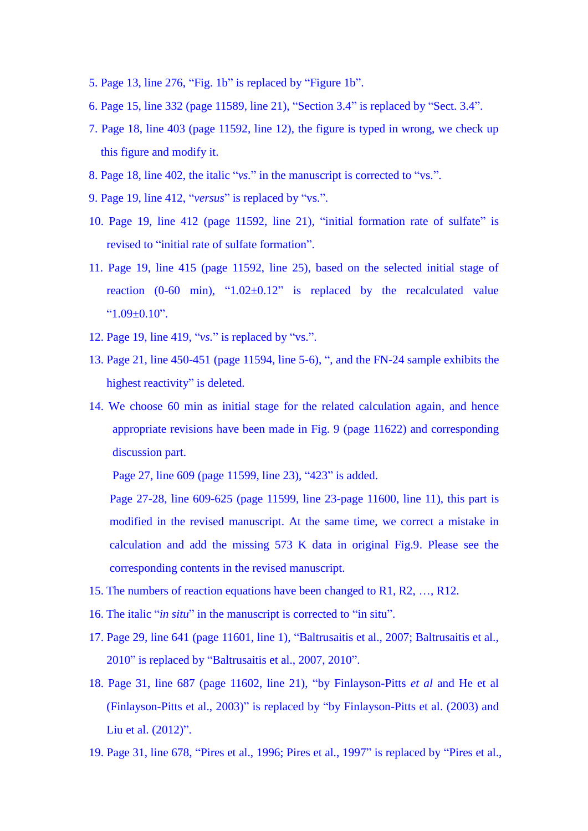- 5. Page 13, line 276, "Fig. 1b" is replaced by "Figure 1b".
- 6. Page 15, line 332 (page 11589, line 21), "Section 3.4" is replaced by "Sect. 3.4".
- 7. Page 18, line 403 (page 11592, line 12), the figure is typed in wrong, we check up this figure and modify it.
- 8. Page 18, line 402, the italic "*vs.*" in the manuscript is corrected to "vs.".
- 9. Page 19, line 412, "*versus*" is replaced by "vs.".
- 10. Page 19, line 412 (page 11592, line 21), "initial formation rate of sulfate" is revised to "initial rate of sulfate formation".
- 11. Page 19, line 415 (page 11592, line 25), based on the selected initial stage of reaction (0-60 min), " $1.02 \pm 0.12$ " is replaced by the recalculated value  $^{\circ}$ 1.09  $\pm$ 0.10".
- 12. Page 19, line 419, "*vs.*" is replaced by "vs.".
- 13. Page 21, line 450-451 (page 11594, line 5-6), ", and the FN-24 sample exhibits the highest reactivity" is deleted.
- 14. We choose 60 min as initial stage for the related calculation again, and hence appropriate revisions have been made in Fig. 9 (page 11622) and corresponding discussion part.

Page 27, line 609 (page 11599, line 23), "423" is added.

Page 27-28, line 609-625 (page 11599, line 23-page 11600, line 11), this part is modified in the revised manuscript. At the same time, we correct a mistake in calculation and add the missing 573 K data in original Fig.9. Please see the corresponding contents in the revised manuscript.

- 15. The numbers of reaction equations have been changed to R1, R2, …, R12.
- 16. The italic "*in situ*" in the manuscript is corrected to "in situ".
- 17. Page 29, line 641 (page 11601, line 1), "Baltrusaitis et al., 2007; Baltrusaitis et al., 2010" is replaced by "Baltrusaitis et al., 2007, 2010".
- 18. Page 31, line 687 (page 11602, line 21), "by Finlayson-Pitts *et al* and He et al (Finlayson-Pitts et al., 2003)" is replaced by "by Finlayson-Pitts et al. (2003) and Liu et al. (2012)".
- 19. Page 31, line 678, "Pires et al., 1996; Pires et al., 1997" is replaced by "Pires et al.,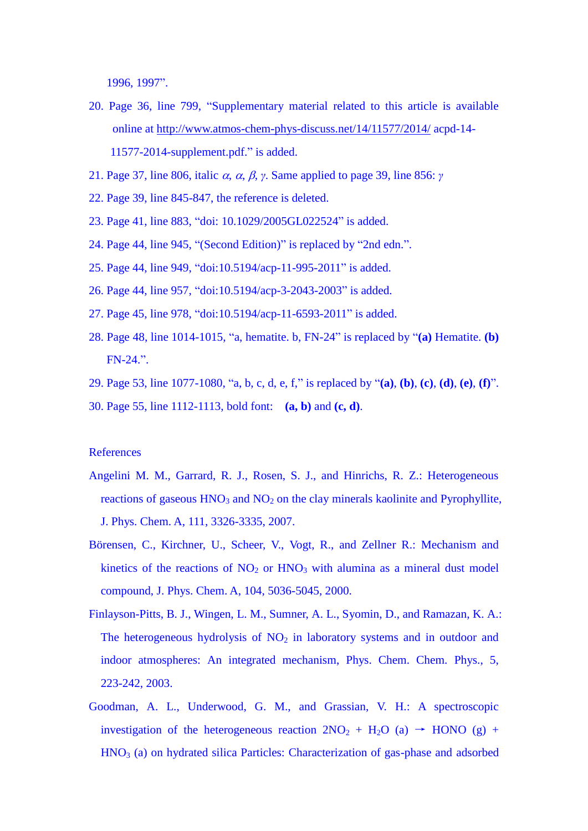1996, 1997".

- 20. Page 36, line 799, "Supplementary material related to this article is available online at<http://www.atmos-chem-phys-discuss.net/14/11577/2014/> acpd-14- 11577-2014-supplement.pdf." is added.
- 21. Page 37, line 806, italic  $\alpha$ ,  $\alpha$ ,  $\beta$ ,  $\gamma$ . Same applied to page 39, line 856:  $\gamma$
- 22. Page 39, line 845-847, the reference is deleted.
- 23. Page 41, line 883, "doi: 10.1029/2005GL022524" is added.
- 24. Page 44, line 945, "(Second Edition)" is replaced by "2nd edn.".
- 25. Page 44, line 949, "doi:10.5194/acp-11-995-2011" is added.
- 26. Page 44, line 957, "doi:10.5194/acp-3-2043-2003" is added.
- 27. Page 45, line 978, "doi:10.5194/acp-11-6593-2011" is added.
- 28. Page 48, line 1014-1015, "a, hematite. b, FN-24" is replaced by "**(a)** Hematite. **(b)** FN-24.".
- 29. Page 53, line 1077-1080, "a, b, c, d, e, f," is replaced by "**(a)**, **(b)**, **(c)**, **(d)**, **(e)**, **(f)**".
- 30. Page 55, line 1112-1113, bold font: **(a, b)** and **(c, d)**.

# References

- Angelini M. M., Garrard, R. J., Rosen, S. J., and Hinrichs, R. Z.: Heterogeneous reactions of gaseous  $HNO<sub>3</sub>$  and  $NO<sub>2</sub>$  on the clay minerals kaolinite and Pyrophyllite, J. Phys. Chem. A, 111, 3326-3335, 2007.
- Börensen, C., Kirchner, U., Scheer, V., Vogt, R., and Zellner R.: Mechanism and kinetics of the reactions of  $NO<sub>2</sub>$  or  $HNO<sub>3</sub>$  with alumina as a mineral dust model compound, J. Phys. Chem. A, 104, 5036-5045, 2000.
- Finlayson-Pitts, B. J., Wingen, L. M., Sumner, A. L., Syomin, D., and Ramazan, K. A.: The heterogeneous hydrolysis of  $NO<sub>2</sub>$  in laboratory systems and in outdoor and indoor atmospheres: An integrated mechanism, Phys. Chem. Chem. Phys., 5, 223-242, 2003.
- Goodman, A. L., Underwood, G. M., and Grassian, V. H.: A spectroscopic investigation of the heterogeneous reaction  $2NO_2 + H_2O$  (a)  $\rightarrow$  HONO (g) +  $HNO<sub>3</sub>$  (a) on hydrated silica Particles: Characterization of gas-phase and adsorbed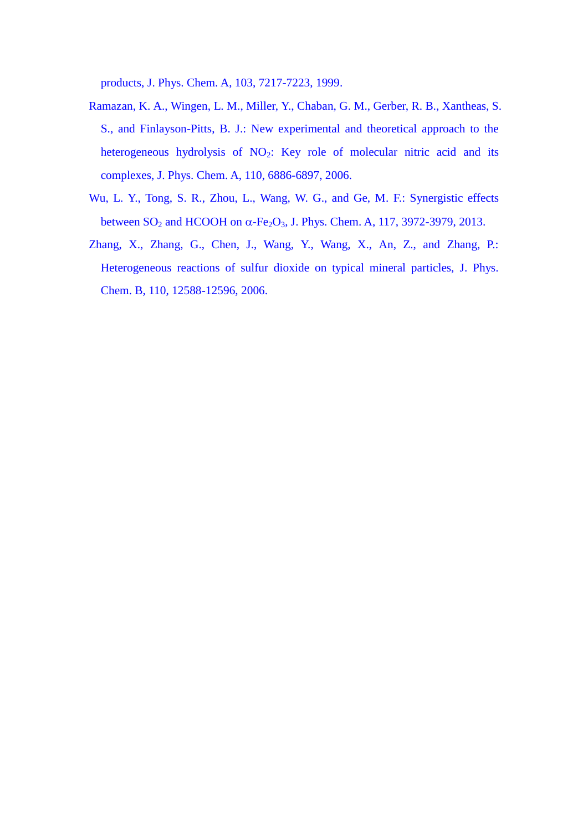products, J. Phys. Chem. A, 103, 7217-7223, 1999.

- Ramazan, K. A., Wingen, L. M., Miller, Y., Chaban, G. M., Gerber, R. B., Xantheas, S. S., and Finlayson-Pitts, B. J.: New experimental and theoretical approach to the heterogeneous hydrolysis of NO<sub>2</sub>: Key role of molecular nitric acid and its complexes, J. Phys. Chem. A, 110, 6886-6897, 2006.
- Wu, L. Y., Tong, S. R., Zhou, L., Wang, W. G., and Ge, M. F.: Synergistic effects between  $SO_2$  and HCOOH on  $\alpha$ -Fe<sub>2</sub>O<sub>3</sub>, J. Phys. Chem. A, 117, 3972-3979, 2013.
- Zhang, X., Zhang, G., Chen, J., Wang, Y., Wang, X., An, Z., and Zhang, P.: Heterogeneous reactions of sulfur dioxide on typical mineral particles, J. Phys. Chem. B, 110, 12588-12596, 2006.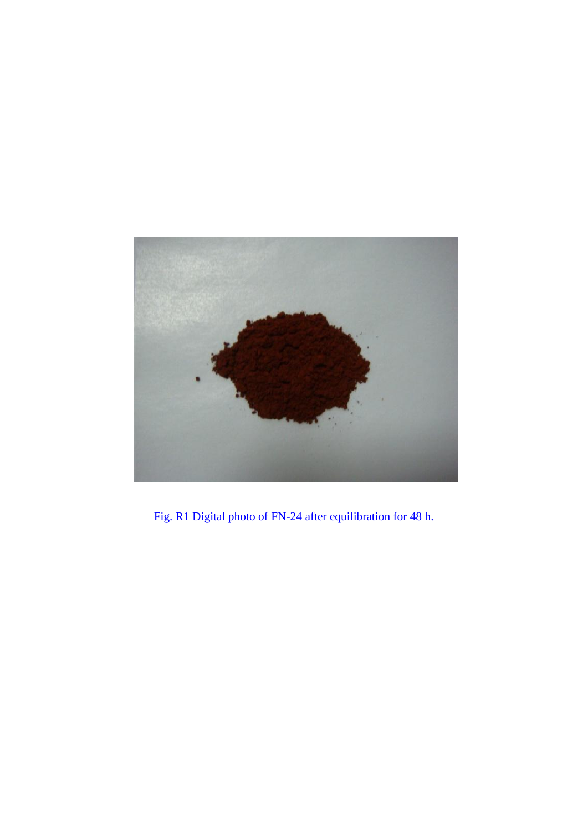

Fig. R1 Digital photo of FN-24 after equilibration for 48 h.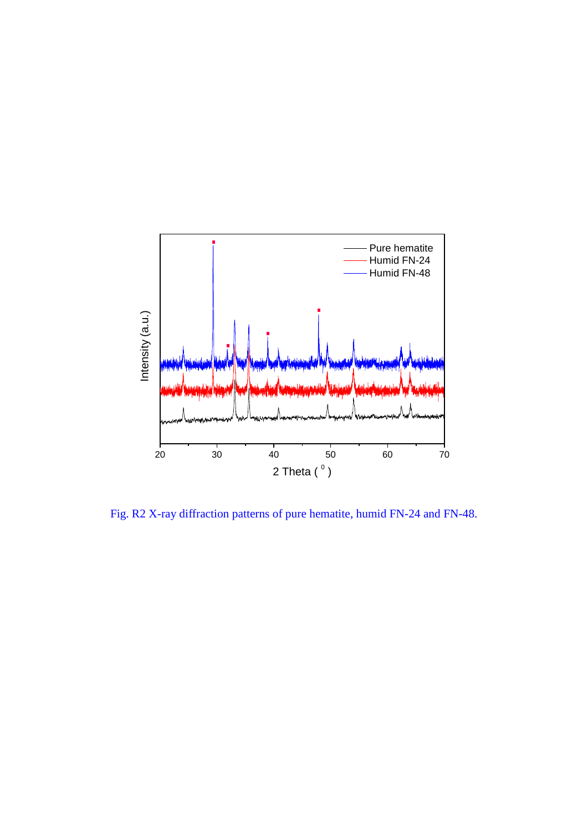

Fig. R2 X-ray diffraction patterns of pure hematite, humid FN-24 and FN-48.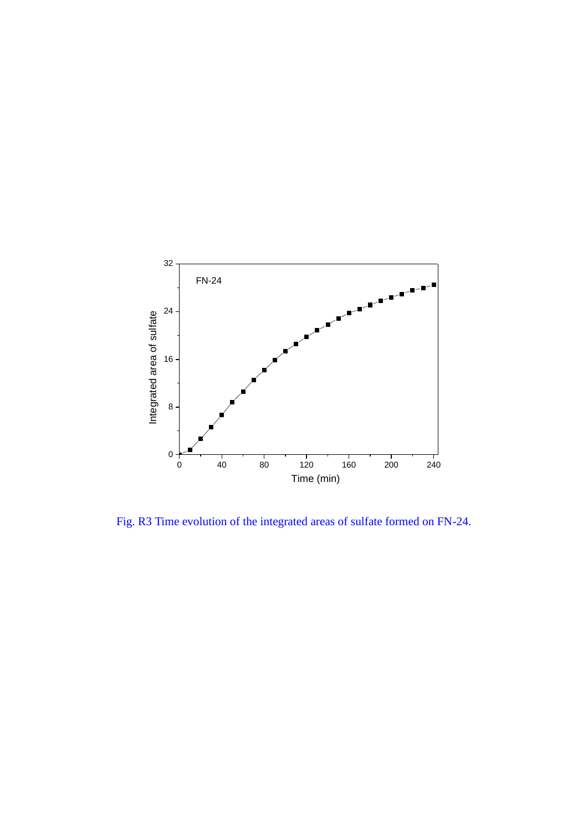

Fig. R3 Time evolution of the integrated areas of sulfate formed on FN-24.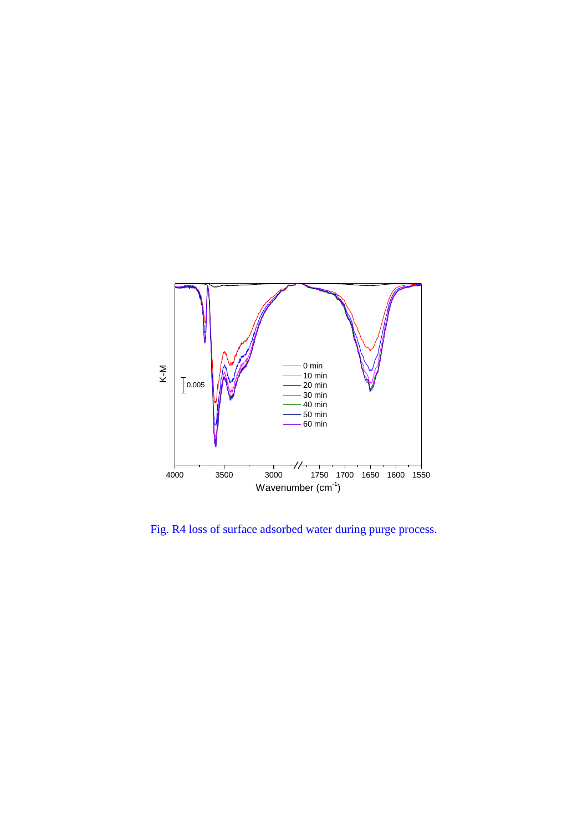

Fig. R4 loss of surface adsorbed water during purge process.